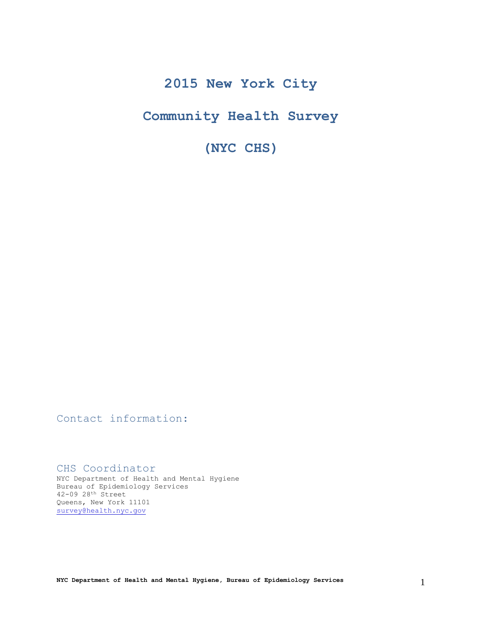# **2015 New York City**

# **Community Health Survey**

**(NYC CHS)**

Contact information:

CHS Coordinator

NYC Department of Health and Mental Hygiene Bureau of Epidemiology Services 42-09 28th Street Queens, New York 11101 [survey@health.nyc.gov](mailto:survey@health.nyc.gov)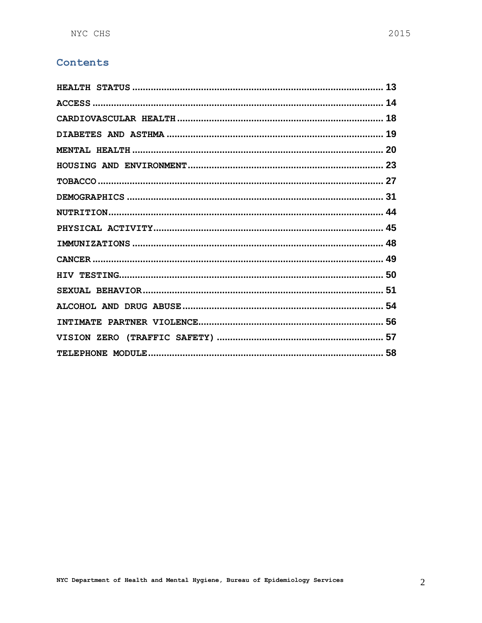# Contents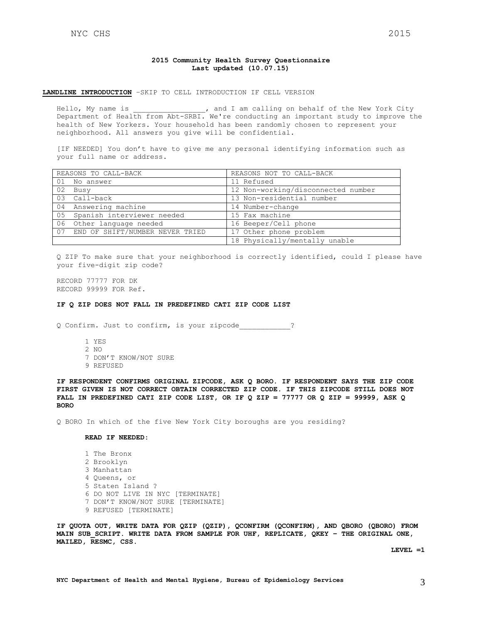### **2015 Community Health Survey Questionnaire Last updated (10.07.15)**

#### **LANDLINE INTRODUCTION** –SKIP TO CELL INTRODUCTION IF CELL VERSION

Hello, My name is  $\qquad \qquad$ , and I am calling on behalf of the New York City Department of Health from Abt-SRBI. We're conducting an important study to improve the health of New Yorkers. Your household has been randomly chosen to represent your neighborhood. All answers you give will be confidential.

[IF NEEDED] You don't have to give me any personal identifying information such as your full name or address.

| REASONS TO CALL-BACK |                                    | REASONS NOT TO CALL-BACK           |  |  |
|----------------------|------------------------------------|------------------------------------|--|--|
|                      | 01 No answer                       | 11 Refused                         |  |  |
| 02                   | Busy                               | 12 Non-working/disconnected number |  |  |
|                      | 03 Call-back                       | 13 Non-residential number          |  |  |
|                      | 04 Answering machine               | 14 Number-change                   |  |  |
|                      | 05 Spanish interviewer needed      | 15 Fax machine                     |  |  |
| 06                   | Other language needed              | 16 Beeper/Cell phone               |  |  |
|                      | 07 END OF SHIFT/NUMBER NEVER TRIED | 17 Other phone problem             |  |  |
|                      |                                    | 18 Physically/mentally unable      |  |  |

Q ZIP To make sure that your neighborhood is correctly identified, could I please have your five-digit zip code?

RECORD 77777 FOR DK RECORD 99999 FOR Ref.

#### **IF Q ZIP DOES NOT FALL IN PREDEFINED CATI ZIP CODE LIST**

Q Confirm. Just to confirm, is your zipcode\_\_\_\_\_\_\_\_\_\_\_\_?

- 1 YES 2 NO
- 7 DON'T KNOW/NOT SURE
- 9 REFUSED

**IF RESPONDENT CONFIRMS ORIGINAL ZIPCODE, ASK Q BORO. IF RESPONDENT SAYS THE ZIP CODE FIRST GIVEN IS NOT CORRECT OBTAIN CORRECTED ZIP CODE. IF THIS ZIPCODE STILL DOES NOT FALL IN PREDEFINED CATI ZIP CODE LIST, OR IF Q ZIP = 77777 OR Q ZIP = 99999, ASK Q BORO**

Q BORO In which of the five New York City boroughs are you residing?

# **READ IF NEEDED:**

1 The Bronx 2 Brooklyn 3 Manhattan 4 Queens, or 5 Staten Island ? 6 DO NOT LIVE IN NYC [TERMINATE] 7 DON'T KNOW/NOT SURE [TERMINATE] 9 REFUSED [TERMINATE]

**IF QUOTA OUT, WRITE DATA FOR QZIP (QZIP), QCONFIRM (QCONFIRM), AND QBORO (QBORO) FROM MAIN SUB\_SCRIPT. WRITE DATA FROM SAMPLE FOR UHF, REPLICATE, QKEY – THE ORIGINAL ONE, MAILED, RESMC, CSS.**

**LEVEL =1**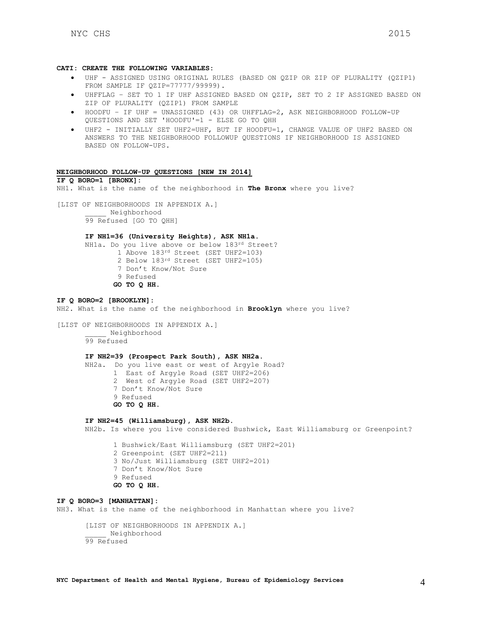#### **CATI: CREATE THE FOLLOWING VARIABLES:**

- UHF ASSIGNED USING ORIGINAL RULES (BASED ON QZIP OR ZIP OF PLURALITY (QZIP1) FROM SAMPLE IF QZIP=77777/99999).
- UHFFLAG SET TO 1 IF UHF ASSIGNED BASED ON QZIP, SET TO 2 IF ASSIGNED BASED ON ZIP OF PLURALITY (QZIP1) FROM SAMPLE
- HOODFU IF UHF = UNASSIGNED (43) OR UHFFLAG=2, ASK NEIGHBORHOOD FOLLOW-UP QUESTIONS AND SET 'HOODFU'=1 - ELSE GO TO QHH
- UHF2 INITIALLY SET UHF2=UHF, BUT IF HOODFU=1, CHANGE VALUE OF UHF2 BASED ON ANSWERS TO THE NEIGHBORHOOD FOLLOWUP QUESTIONS IF NEIGHBORHOOD IS ASSIGNED BASED ON FOLLOW-UPS.

# **NEIGHBORHOOD FOLLOW-UP QUESTIONS [NEW IN 2014]**

#### **IF Q BORO=1 [BRONX]:**

NH1. What is the name of the neighborhood in **The Bronx** where you live?

[LIST OF NEIGHBORHOODS IN APPENDIX A.]

\_\_\_\_\_ Neighborhood 99 Refused [GO TO QHH]

# **IF NH1=36 (University Heights), ASK NH1a.**

NH1a. Do you live above or below 183rd Street? 1 Above 183rd Street (SET UHF2=103)

- 2 Below 183rd Street (SET UHF2=105)
- 7 Don't Know/Not Sure
- 9 Refused
- **GO TO Q HH.**

#### **IF Q BORO=2 [BROOKLYN]:**

NH2. What is the name of the neighborhood in **Brooklyn** where you live?

```
[LIST OF NEIGHBORHOODS IN APPENDIX A.]
            _____ Neighborhood
```
99 Refused

#### **IF NH2=39 (Prospect Park South), ASK NH2a.**

NH2a. Do you live east or west of Argyle Road? 1 East of Argyle Road (SET UHF2=206) 2 West of Argyle Road (SET UHF2=207) 7 Don't Know/Not Sure 9 Refused **GO TO Q HH.** 

#### **IF NH2=45 (Williamsburg), ASK NH2b.**

NH2b. Is where you live considered Bushwick, East Williamsburg or Greenpoint?

1 Bushwick/East Williamsburg (SET UHF2=201) 2 Greenpoint (SET UHF2=211) 3 No/Just Williamsburg (SET UHF2=201) 7 Don't Know/Not Sure 9 Refused **GO TO Q HH.** 

# **IF Q BORO=3 [MANHATTAN]:**

NH3. What is the name of the neighborhood in Manhattan where you live?

[LIST OF NEIGHBORHOODS IN APPENDIX A.] \_\_\_\_\_ Neighborhood 99 Refused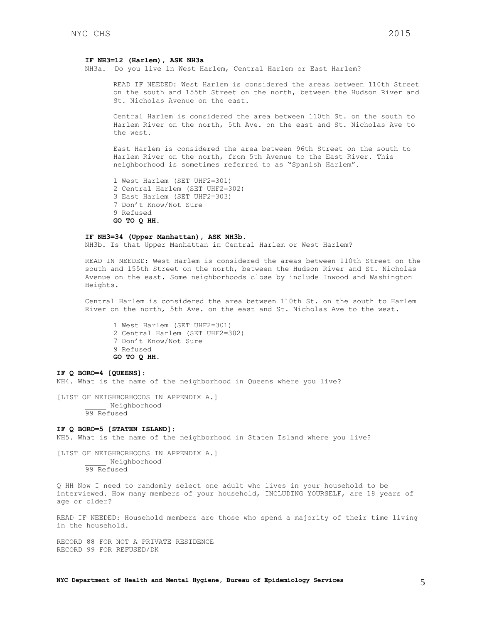#### **IF NH3=12 (Harlem), ASK NH3a**

NH3a. Do you live in West Harlem, Central Harlem or East Harlem?

READ IF NEEDED: West Harlem is considered the areas between 110th Street on the south and 155th Street on the north, between the Hudson River and St. Nicholas Avenue on the east.

Central Harlem is considered the area between 110th St. on the south to Harlem River on the north, 5th Ave. on the east and St. Nicholas Ave to the west.

East Harlem is considered the area between 96th Street on the south to Harlem River on the north, from 5th Avenue to the East River. This neighborhood is sometimes referred to as "Spanish Harlem".

1 West Harlem (SET UHF2=301) 2 Central Harlem (SET UHF2=302) 3 East Harlem (SET UHF2=303) 7 Don't Know/Not Sure 9 Refused **GO TO Q HH.** 

#### **IF NH3=34 (Upper Manhattan), ASK NH3b.**

NH3b. Is that Upper Manhattan in Central Harlem or West Harlem?

READ IN NEEDED: West Harlem is considered the areas between 110th Street on the south and 155th Street on the north, between the Hudson River and St. Nicholas Avenue on the east. Some neighborhoods close by include Inwood and Washington Heights.

Central Harlem is considered the area between 110th St. on the south to Harlem River on the north, 5th Ave. on the east and St. Nicholas Ave to the west.

1 West Harlem (SET UHF2=301) 2 Central Harlem (SET UHF2=302) 7 Don't Know/Not Sure 9 Refused **GO TO Q HH.** 

#### **IF Q BORO=4 [QUEENS]:**

NH4. What is the name of the neighborhood in Queens where you live?

[LIST OF NEIGHBORHOODS IN APPENDIX A.] \_\_\_\_\_ Neighborhood 99 Refused

#### **IF Q BORO=5 [STATEN ISLAND]:**

NH5. What is the name of the neighborhood in Staten Island where you live?

[LIST OF NEIGHBORHOODS IN APPENDIX A.] \_\_\_\_\_ Neighborhood 99 Refused

Q HH Now I need to randomly select one adult who lives in your household to be interviewed. How many members of your household, INCLUDING YOURSELF, are 18 years of age or older?

READ IF NEEDED: Household members are those who spend a majority of their time living in the household.

RECORD 88 FOR NOT A PRIVATE RESIDENCE RECORD 99 FOR REFUSED/DK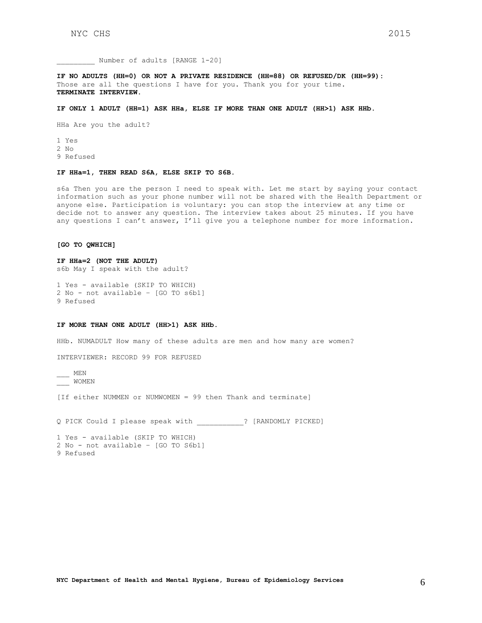Number of adults [RANGE 1-20]

**IF NO ADULTS (HH=0) OR NOT A PRIVATE RESIDENCE (HH=88) OR REFUSED/DK (HH=99):** Those are all the questions I have for you. Thank you for your time. **TERMINATE INTERVIEW.**

#### **IF ONLY 1 ADULT (HH=1) ASK HHa, ELSE IF MORE THAN ONE ADULT (HH>1) ASK HHb.**

HHa Are you the adult?

1 Yes 2 No 9 Refused

#### **IF HHa=1, THEN READ S6A, ELSE SKIP TO S6B.**

s6a Then you are the person I need to speak with. Let me start by saying your contact information such as your phone number will not be shared with the Health Department or anyone else. Participation is voluntary: you can stop the interview at any time or decide not to answer any question. The interview takes about 25 minutes. If you have any questions I can't answer, I'll give you a telephone number for more information.

#### **[GO TO QWHICH]**

#### **IF HHa=2 (NOT THE ADULT)**

s6b May I speak with the adult?

```
1 Yes - available (SKIP TO WHICH)
2 No - not available – [GO TO s6b1]
9 Refused
```
#### **IF MORE THAN ONE ADULT (HH>1) ASK HHb.**

HHb. NUMADULT How many of these adults are men and how many are women?

INTERVIEWER: RECORD 99 FOR REFUSED

 $MEN$ \_\_\_ WOMEN

[If either NUMMEN or NUMWOMEN = 99 then Thank and terminate]

Q PICK Could I please speak with \_\_\_\_\_\_\_\_\_\_\_? [RANDOMLY PICKED]

```
1 Yes - available (SKIP TO WHICH)
2 No - not available – [GO TO S6b1]
9 Refused
```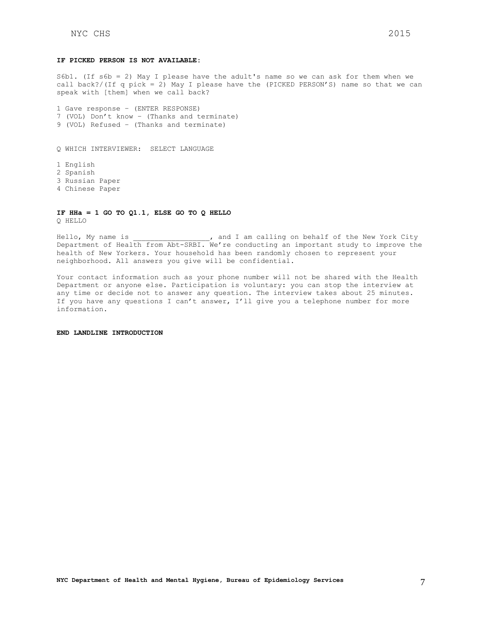### **IF PICKED PERSON IS NOT AVAILABLE:**

S6b1. (If s6b = 2) May I please have the adult's name so we can ask for them when we call back?/(If q pick = 2) May I please have the (PICKED PERSON'S) name so that we can speak with [them] when we call back?

1 Gave response – (ENTER RESPONSE) 7 (VOL) Don't know – (Thanks and terminate) 9 (VOL) Refused – (Thanks and terminate)

Q WHICH INTERVIEWER: SELECT LANGUAGE

1 English 2 Spanish 3 Russian Paper 4 Chinese Paper

**IF HHa = 1 GO TO Q1.1, ELSE GO TO Q HELLO** Q HELLO

Hello, My name is  $\qquad \qquad$ , and I am calling on behalf of the New York City Department of Health from Abt-SRBI. We're conducting an important study to improve the health of New Yorkers. Your household has been randomly chosen to represent your neighborhood. All answers you give will be confidential.

Your contact information such as your phone number will not be shared with the Health Department or anyone else. Participation is voluntary: you can stop the interview at any time or decide not to answer any question. The interview takes about 25 minutes. If you have any questions I can't answer, I'll give you a telephone number for more information.

**END LANDLINE INTRODUCTION**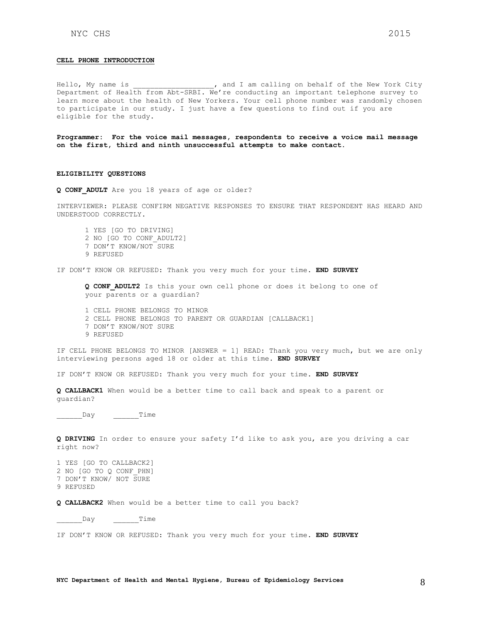#### **CELL PHONE INTRODUCTION**

Hello, My name is  $\qquad \qquad$ , and I am calling on behalf of the New York City Department of Health from Abt-SRBI. We're conducting an important telephone survey to learn more about the health of New Yorkers. Your cell phone number was randomly chosen to participate in our study. I just have a few questions to find out if you are eligible for the study.

**Programmer: For the voice mail messages, respondents to receive a voice mail message on the first, third and ninth unsuccessful attempts to make contact.** 

### **ELIGIBILITY QUESTIONS**

**Q CONF\_ADULT** Are you 18 years of age or older?

INTERVIEWER: PLEASE CONFIRM NEGATIVE RESPONSES TO ENSURE THAT RESPONDENT HAS HEARD AND UNDERSTOOD CORRECTLY.

1 YES [GO TO DRIVING] 2 NO [GO TO CONF\_ADULT2] 7 DON'T KNOW/NOT SURE 9 REFUSED

IF DON'T KNOW OR REFUSED: Thank you very much for your time. **END SURVEY**

**Q CONF\_ADULT2** Is this your own cell phone or does it belong to one of your parents or a guardian?

- 1 CELL PHONE BELONGS TO MINOR
- 2 CELL PHONE BELONGS TO PARENT OR GUARDIAN [CALLBACK1]
- 7 DON'T KNOW/NOT SURE
- 9 REFUSED

IF CELL PHONE BELONGS TO MINOR [ANSWER = 1] READ: Thank you very much, but we are only interviewing persons aged 18 or older at this time. **END SURVEY**

IF DON'T KNOW OR REFUSED: Thank you very much for your time. **END SURVEY**

**Q CALLBACK1** When would be a better time to call back and speak to a parent or guardian?

\_\_\_\_\_\_Day \_\_\_\_\_\_Time

**Q DRIVING** In order to ensure your safety I'd like to ask you, are you driving a car right now?

1 YES [GO TO CALLBACK2] 2 NO [GO TO Q CONF\_PHN] 7 DON'T KNOW/ NOT SURE 9 REFUSED

**Q CALLBACK2** When would be a better time to call you back?

\_\_\_\_\_\_Day \_\_\_\_\_\_Time

IF DON'T KNOW OR REFUSED: Thank you very much for your time. **END SURVEY**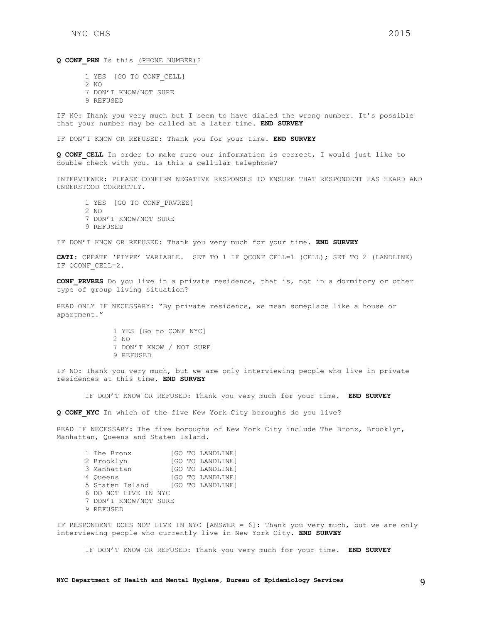Q CONF PHN Is this (PHONE NUMBER)?

1 YES [GO TO CONF\_CELL] 2 NO 7 DON'T KNOW/NOT SURE 9 REFUSED

IF NO: Thank you very much but I seem to have dialed the wrong number. It's possible that your number may be called at a later time. **END SURVEY**

IF DON'T KNOW OR REFUSED: Thank you for your time. **END SURVEY**

**Q CONF\_CELL** In order to make sure our information is correct, I would just like to double check with you. Is this a cellular telephone?

INTERVIEWER: PLEASE CONFIRM NEGATIVE RESPONSES TO ENSURE THAT RESPONDENT HAS HEARD AND UNDERSTOOD CORRECTLY.

1 YES [GO TO CONF\_PRVRES]  $2 N$ 7 DON'T KNOW/NOT SURE 9 REFUSED

IF DON'T KNOW OR REFUSED: Thank you very much for your time. **END SURVEY**

**CATI**: CREATE 'PTYPE' VARIABLE. SET TO 1 IF QCONF\_CELL=1 (CELL); SET TO 2 (LANDLINE) IF QCONF\_CELL=2.

**CONF\_PRVRES** Do you live in a private residence, that is, not in a dormitory or other type of group living situation?

READ ONLY IF NECESSARY: "By private residence, we mean someplace like a house or apartment."

> 1 YES [Go to CONF\_NYC] 2 NO 7 DON'T KNOW / NOT SURE 9 REFUSED

IF NO: Thank you very much, but we are only interviewing people who live in private residences at this time. **END SURVEY**

IF DON'T KNOW OR REFUSED: Thank you very much for your time. **END SURVEY**

**Q CONF\_NYC** In which of the five New York City boroughs do you live?

READ IF NECESSARY: The five boroughs of New York City include The Bronx, Brooklyn, Manhattan, Queens and Staten Island.

| 1 The Bronx           |  | [GO TO LANDLINE] |
|-----------------------|--|------------------|
| 2 Brooklyn            |  | [GO TO LANDLINE] |
| 3 Manhattan           |  | [GO TO LANDLINE] |
| 4 Oueens              |  | [GO TO LANDLINE] |
| 5 Staten Island       |  | [GO TO LANDLINE] |
| 6 DO NOT LIVE IN NYC  |  |                  |
| 7 DON'T KNOW/NOT SURE |  |                  |
| 9 REFUSED             |  |                  |

IF RESPONDENT DOES NOT LIVE IN NYC [ANSWER = 6]: Thank you very much, but we are only interviewing people who currently live in New York City. **END SURVEY**

IF DON'T KNOW OR REFUSED: Thank you very much for your time. **END SURVEY**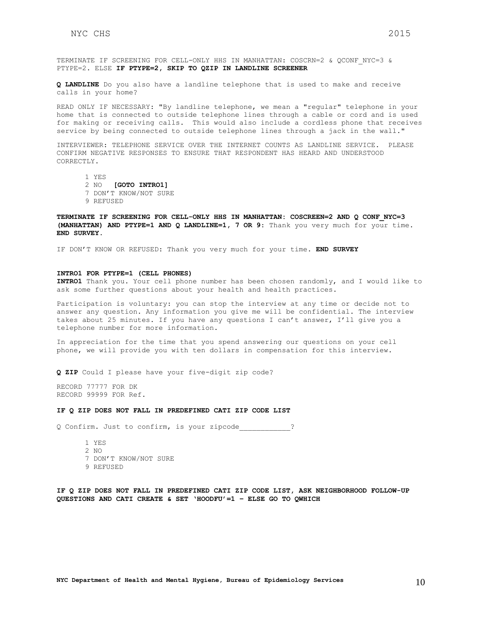TERMINATE IF SCREENING FOR CELL-ONLY HHS IN MANHATTAN: COSCRN=2 & QCONF\_NYC=3 & PTYPE=2. ELSE **IF PTYPE=2, SKIP TO QZIP IN LANDLINE SCREENER**

**Q LANDLINE** Do you also have a landline telephone that is used to make and receive calls in your home?

READ ONLY IF NECESSARY: "By landline telephone, we mean a "regular" telephone in your home that is connected to outside telephone lines through a cable or cord and is used for making or receiving calls. This would also include a cordless phone that receives service by being connected to outside telephone lines through a jack in the wall."

INTERVIEWER: TELEPHONE SERVICE OVER THE INTERNET COUNTS AS LANDLINE SERVICE. PLEASE CONFIRM NEGATIVE RESPONSES TO ENSURE THAT RESPONDENT HAS HEARD AND UNDERSTOOD CORRECTLY.

1 YES

- 2 NO **[GOTO INTRO1]**
- 7 DON'T KNOW/NOT SURE
- 9 REFUSED

**TERMINATE IF SCREENING FOR CELL-ONLY HHS IN MANHATTAN: COSCREEN=2 AND Q CONF\_NYC=3 (MANHATTAN) AND PTYPE=1 AND Q LANDLINE=1, 7 OR 9**: Thank you very much for your time. **END SURVEY**.

IF DON'T KNOW OR REFUSED: Thank you very much for your time. **END SURVEY**

#### **INTRO1 FOR PTYPE=1 (CELL PHONES)**

**INTRO1** Thank you. Your cell phone number has been chosen randomly, and I would like to ask some further questions about your health and health practices.

Participation is voluntary: you can stop the interview at any time or decide not to answer any question. Any information you give me will be confidential. The interview takes about 25 minutes. If you have any questions I can't answer, I'll give you a telephone number for more information.

In appreciation for the time that you spend answering our questions on your cell phone, we will provide you with ten dollars in compensation for this interview.

**Q ZIP** Could I please have your five-digit zip code?

RECORD 77777 FOR DK RECORD 99999 FOR Ref.

#### **IF Q ZIP DOES NOT FALL IN PREDEFINED CATI ZIP CODE LIST**

Q Confirm. Just to confirm, is your zipcode\_\_\_\_\_\_\_\_\_\_\_\_?

- 1 YES 2 NO 7 DON'T KNOW/NOT SURE 9 REFUSED
- 

**IF Q ZIP DOES NOT FALL IN PREDEFINED CATI ZIP CODE LIST, ASK NEIGHBORHOOD FOLLOW-UP QUESTIONS AND CATI CREATE & SET 'HOODFU'=1 – ELSE GO TO QWHICH**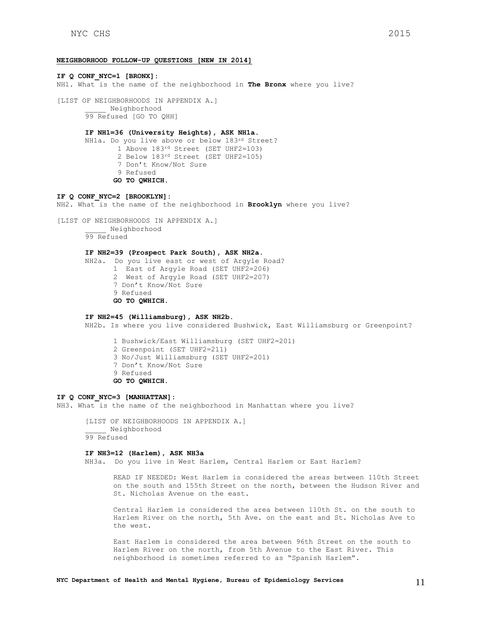#### **NEIGHBORHOOD FOLLOW-UP QUESTIONS [NEW IN 2014]**

**IF Q CONF\_NYC=1 [BRONX]:** NH1. What is the name of the neighborhood in **The Bronx** where you live? [LIST OF NEIGHBORHOODS IN APPENDIX A.] \_\_\_\_\_ Neighborhood 99 Refused [GO TO QHH] **IF NH1=36 (University Heights), ASK NH1a.** NH1a. Do you live above or below 183rd Street? 1 Above 183<sup>rd</sup> Street (SET UHF2=103) 2 Below 183rd Street (SET UHF2=105) 7 Don't Know/Not Sure 9 Refused **GO TO QWHICH. IF Q CONF\_NYC=2 [BROOKLYN]:** NH2. What is the name of the neighborhood in **Brooklyn** where you live? [LIST OF NEIGHBORHOODS IN APPENDIX A.] \_\_\_\_\_ Neighborhood 99 Refused **IF NH2=39 (Prospect Park South), ASK NH2a.** NH2a. Do you live east or west of Argyle Road? 1 East of Argyle Road (SET UHF2=206) 2 West of Argyle Road (SET UHF2=207) 7 Don't Know/Not Sure 9 Refused **GO TO QWHICH. IF NH2=45 (Williamsburg), ASK NH2b.** NH2b. Is where you live considered Bushwick, East Williamsburg or Greenpoint?

> 1 Bushwick/East Williamsburg (SET UHF2=201) 2 Greenpoint (SET UHF2=211) 3 No/Just Williamsburg (SET UHF2=201) 7 Don't Know/Not Sure 9 Refused **GO TO QWHICH.**

#### **IF Q CONF\_NYC=3 [MANHATTAN]:**

NH3. What is the name of the neighborhood in Manhattan where you live?

[LIST OF NEIGHBORHOODS IN APPENDIX A.] \_\_\_\_\_ Neighborhood 99 Refused

#### **IF NH3=12 (Harlem), ASK NH3a**

NH3a. Do you live in West Harlem, Central Harlem or East Harlem?

READ IF NEEDED: West Harlem is considered the areas between 110th Street on the south and 155th Street on the north, between the Hudson River and St. Nicholas Avenue on the east.

Central Harlem is considered the area between 110th St. on the south to Harlem River on the north, 5th Ave. on the east and St. Nicholas Ave to the west.

East Harlem is considered the area between 96th Street on the south to Harlem River on the north, from 5th Avenue to the East River. This neighborhood is sometimes referred to as "Spanish Harlem".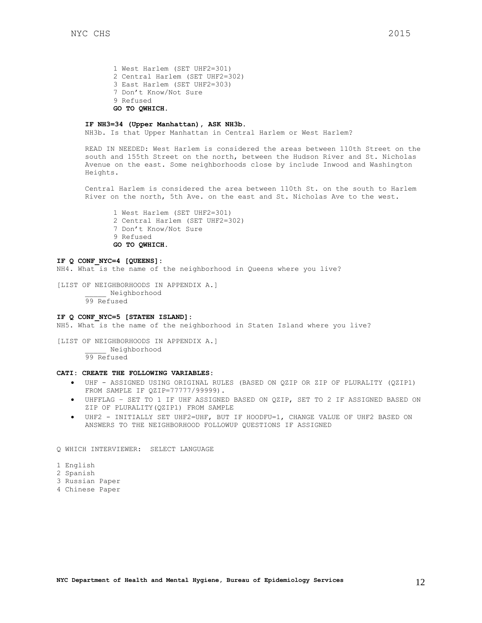1 West Harlem (SET UHF2=301) 2 Central Harlem (SET UHF2=302) 3 East Harlem (SET UHF2=303) 7 Don't Know/Not Sure 9 Refused **GO TO QWHICH.** 

#### **IF NH3=34 (Upper Manhattan), ASK NH3b.**

NH3b. Is that Upper Manhattan in Central Harlem or West Harlem?

READ IN NEEDED: West Harlem is considered the areas between 110th Street on the south and 155th Street on the north, between the Hudson River and St. Nicholas Avenue on the east. Some neighborhoods close by include Inwood and Washington Heights.

Central Harlem is considered the area between 110th St. on the south to Harlem River on the north, 5th Ave. on the east and St. Nicholas Ave to the west.

1 West Harlem (SET UHF2=301) 2 Central Harlem (SET UHF2=302) 7 Don't Know/Not Sure 9 Refused **GO TO QWHICH.** 

#### **IF Q CONF\_NYC=4 [QUEENS]:**

NH4. What is the name of the neighborhood in Queens where you live?

[LIST OF NEIGHBORHOODS IN APPENDIX A.] \_\_\_\_\_ Neighborhood 99 Refused

#### **IF Q CONF\_NYC=5 [STATEN ISLAND]:**

NH5. What is the name of the neighborhood in Staten Island where you live?

[LIST OF NEIGHBORHOODS IN APPENDIX A.] \_\_\_\_\_ Neighborhood 99 Refused

# **CATI: CREATE THE FOLLOWING VARIABLES:**

- UHF ASSIGNED USING ORIGINAL RULES (BASED ON QZIP OR ZIP OF PLURALITY (QZIP1) FROM SAMPLE IF QZIP=77777/99999).
- UHFFLAG SET TO 1 IF UHF ASSIGNED BASED ON QZIP, SET TO 2 IF ASSIGNED BASED ON ZIP OF PLURALITY(QZIP1) FROM SAMPLE
- UHF2 INITIALLY SET UHF2=UHF, BUT IF HOODFU=1, CHANGE VALUE OF UHF2 BASED ON ANSWERS TO THE NEIGHBORHOOD FOLLOWUP QUESTIONS IF ASSIGNED

Q WHICH INTERVIEWER: SELECT LANGUAGE

- 1 English
- 2 Spanish
- 3 Russian Paper
- 4 Chinese Paper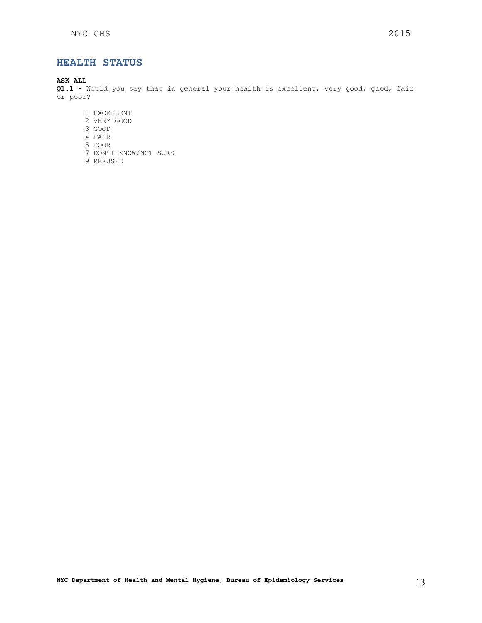# <span id="page-12-0"></span>**HEALTH STATUS**

# **ASK ALL**

**Q1.1 -** Would you say that in general your health is excellent, very good, good, fair or poor?

- 1 EXCELLENT
- 2 VERY GOOD
- 3 GOOD
- 4 FAIR
- 5 POOR
- 7 DON'T KNOW/NOT SURE
- 9 REFUSED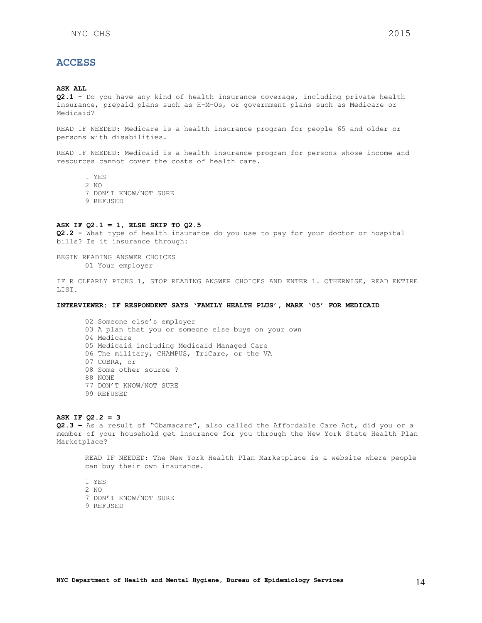# <span id="page-13-0"></span>**ACCESS**

#### **ASK ALL**

**Q2.1 -** Do you have any kind of health insurance coverage, including private health insurance, prepaid plans such as H-M-Os, or government plans such as Medicare or Medicaid?

READ IF NEEDED: Medicare is a health insurance program for people 65 and older or persons with disabilities.

READ IF NEEDED: Medicaid is a health insurance program for persons whose income and resources cannot cover the costs of health care.

- 1 YES
- 2 NO
- 7 DON'T KNOW/NOT SURE
- 9 REFUSED

# **ASK IF Q2.1 = 1, ELSE SKIP TO Q2.5**

**Q2.2 -** What type of health insurance do you use to pay for your doctor or hospital bills? Is it insurance through:

BEGIN READING ANSWER CHOICES 01 Your employer

IF R CLEARLY PICKS 1, STOP READING ANSWER CHOICES AND ENTER 1. OTHERWISE, READ ENTIRE LIST.

#### **INTERVIEWER: IF RESPONDENT SAYS 'FAMILY HEALTH PLUS', MARK '05' FOR MEDICAID**

02 Someone else's employer 03 A plan that you or someone else buys on your own 04 Medicare 05 Medicaid including Medicaid Managed Care 06 The military, CHAMPUS, TriCare, or the VA 07 COBRA, or 08 Some other source ? 88 NONE 77 DON'T KNOW/NOT SURE 99 REFUSED

#### **ASK IF Q2.2 = 3**

**Q2.3 –** As a result of "Obamacare", also called the Affordable Care Act, did you or a member of your household get insurance for you through the New York State Health Plan Marketplace?

READ IF NEEDED: The New York Health Plan Marketplace is a website where people can buy their own insurance.

1 YES

- 2 NO
- 7 DON'T KNOW/NOT SURE
- 9 REFUSED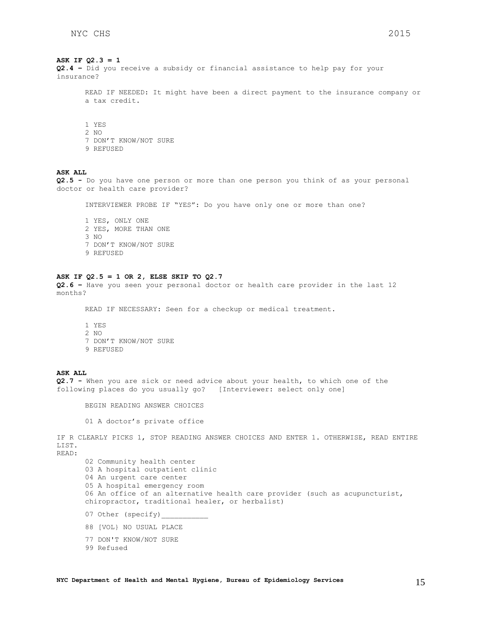# **ASK IF Q2.3 = 1**

**Q2.4 –** Did you receive a subsidy or financial assistance to help pay for your insurance?

READ IF NEEDED: It might have been a direct payment to the insurance company or a tax credit.

1 YES

- 2 NO
- 7 DON'T KNOW/NOT SURE
- 9 REFUSED

# **ASK ALL**

**Q2.5 -** Do you have one person or more than one person you think of as your personal doctor or health care provider?

INTERVIEWER PROBE IF "YES": Do you have only one or more than one?

1 YES, ONLY ONE 2 YES, MORE THAN ONE 3 NO 7 DON'T KNOW/NOT SURE 9 REFUSED

#### **ASK IF Q2.5 = 1 OR 2, ELSE SKIP TO Q2.7**

**Q2.6 –** Have you seen your personal doctor or health care provider in the last 12 months?

READ IF NECESSARY: Seen for a checkup or medical treatment.

1 YES 2  $N<sub>O</sub>$ 7 DON'T KNOW/NOT SURE 9 REFUSED

### **ASK ALL**

**Q2.7 -** When you are sick or need advice about your health, to which one of the following places do you usually go? [Interviewer: select only one]

BEGIN READING ANSWER CHOICES

01 A doctor's private office

IF R CLEARLY PICKS 1, STOP READING ANSWER CHOICES AND ENTER 1. OTHERWISE, READ ENTIRE LIST.

READ:

02 Community health center 03 A hospital outpatient clinic 04 An urgent care center 05 A hospital emergency room 06 An office of an alternative health care provider (such as acupuncturist, chiropractor, traditional healer, or herbalist) 07 Other (specify) 88 [VOL} NO USUAL PLACE 77 DON'T KNOW/NOT SURE 99 Refused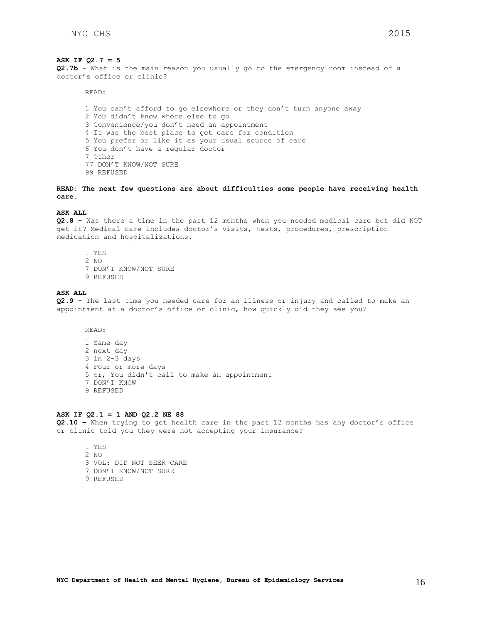#### **ASK IF Q2.7 = 5**

**Q2.7b -** What is the main reason you usually go to the emergency room instead of a doctor's office or clinic?

READ:

1 You can't afford to go elsewhere or they don't turn anyone away 2 You didn't know where else to go 3 Convenience/you don't need an appointment 4 It was the best place to get care for condition 5 You prefer or like it as your usual source of care 6 You don't have a regular doctor 7 Other 77 DON'T KNOW/NOT SURE 99 REFUSED

**READ: The next few questions are about difficulties some people have receiving health care.**

# **ASK ALL**

**Q2.8 -** Was there a time in the past 12 months when you needed medical care but did NOT get it? Medical care includes doctor's visits, tests, procedures, prescription medication and hospitalizations.

- 1 YES 2 NO
- 7 DON'T KNOW/NOT SURE
- 9 REFUSED

#### **ASK ALL**

**Q2.9 -** The last time you needed care for an illness or injury and called to make an appointment at a doctor's office or clinic, how quickly did they see you?

READ:

1 Same day 2 next day 3 in 2-3 days 4 Four or more days 5 or, You didn't call to make an appointment 7 DON'T KNOW 9 REFUSED

#### **ASK IF Q2.1 = 1 AND Q2.2 NE 88**

**Q2.10 –** When trying to get health care in the past 12 months has any doctor's office or clinic told you they were not accepting your insurance?

1 YES 2 NO 3 VOL: DID NOT SEEK CARE 7 DON'T KNOW/NOT SURE 9 REFUSED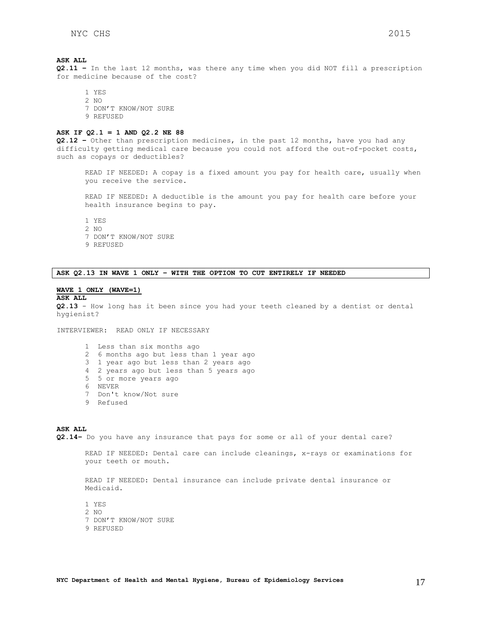**Q2.11 –** In the last 12 months, was there any time when you did NOT fill a prescription for medicine because of the cost?

1 YES 2 NO 7 DON'T KNOW/NOT SURE 9 REFUSED

#### **ASK IF Q2.1 = 1 AND Q2.2 NE 88**

**Q2.12 –** Other than prescription medicines, in the past 12 months, have you had any difficulty getting medical care because you could not afford the out-of-pocket costs, such as copays or deductibles?

READ IF NEEDED: A copay is a fixed amount you pay for health care, usually when you receive the service.

READ IF NEEDED: A deductible is the amount you pay for health care before your health insurance begins to pay.

1 YES

- 2 NO
- 7 DON'T KNOW/NOT SURE
- 9 REFUSED

**ASK Q2.13 IN WAVE 1 ONLY – WITH THE OPTION TO CUT ENTIRELY IF NEEDED**

# **WAVE 1 ONLY (WAVE=1)**

#### **ASK ALL**

**Q2.13** - How long has it been since you had your teeth cleaned by a dentist or dental hygienist?

INTERVIEWER: READ ONLY IF NECESSARY

- 1 Less than six months ago 2 6 months ago but less than 1 year ago 3 1 year ago but less than 2 years ago 4 2 years ago but less than 5 years ago 5 5 or more years ago 6 NEVER
- 7 Don't know/Not sure
- 9 Refused

#### **ASK ALL**

**Q2.14–** Do you have any insurance that pays for some or all of your dental care?

READ IF NEEDED: Dental care can include cleanings, x-rays or examinations for your teeth or mouth.

READ IF NEEDED: Dental insurance can include private dental insurance or Medicaid.

1 YES 2 NO 7 DON'T KNOW/NOT SURE 9 REFUSED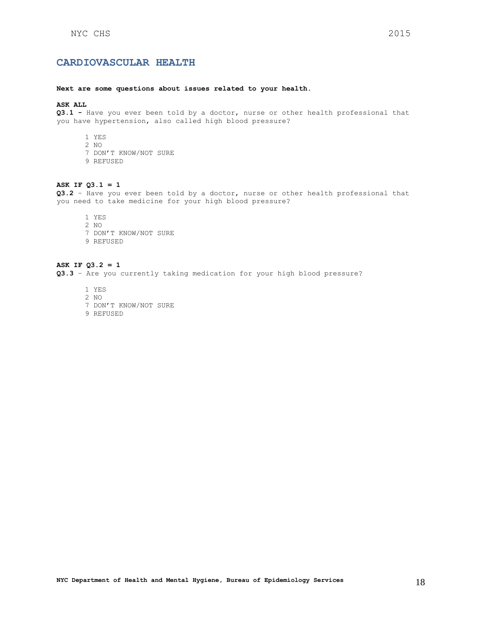#### <span id="page-17-0"></span>**Next are some questions about issues related to your health.**

# **ASK ALL**

**Q3.1 -** Have you ever been told by a doctor, nurse or other health professional that you have hypertension, also called high blood pressure?

- 1 YES
- 2 NO
- 7 DON'T KNOW/NOT SURE
- 9 REFUSED

# **ASK IF Q3.1 = 1**

**Q3.2** – Have you ever been told by a doctor, nurse or other health professional that you need to take medicine for your high blood pressure?

- 1 YES
- 2 NO
- 7 DON'T KNOW/NOT SURE
- 9 REFUSED

# **ASK IF Q3.2 = 1**

**Q3.3** – Are you currently taking medication for your high blood pressure?

1 YES 2 NO 7 DON'T KNOW/NOT SURE 9 REFUSED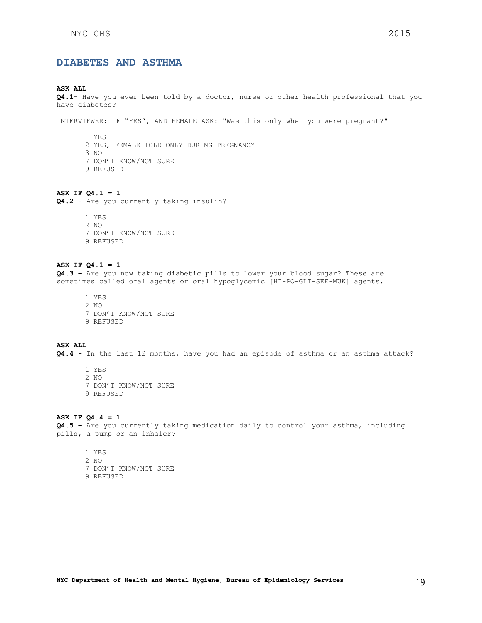# <span id="page-18-0"></span>**DIABETES AND ASTHMA**

#### **ASK ALL**

**Q4.1-** Have you ever been told by a doctor, nurse or other health professional that you have diabetes?

INTERVIEWER: IF "YES", AND FEMALE ASK: "Was this only when you were pregnant?"

- 1 YES 2 YES, FEMALE TOLD ONLY DURING PREGNANCY 3 NO 7 DON'T KNOW/NOT SURE 9 REFUSED
- **ASK IF Q4.1 = 1**

**Q4.2 –** Are you currently taking insulin?

1 YES 2 NO 7 DON'T KNOW/NOT SURE 9 REFUSED

#### **ASK IF Q4.1 = 1**

**Q4.3 –** Are you now taking diabetic pills to lower your blood sugar? These are sometimes called oral agents or oral hypoglycemic [HI-PO-GLI-SEE-MUK] agents.

1 YES 2 NO 7 DON'T KNOW/NOT SURE 9 REFUSED

## **ASK ALL**

**Q4.4 -** In the last 12 months, have you had an episode of asthma or an asthma attack?

1 YES 2 NO 7 DON'T KNOW/NOT SURE 9 REFUSED

#### **ASK IF Q4.4 = 1**

**Q4.5 –** Are you currently taking medication daily to control your asthma, including pills, a pump or an inhaler?

1 YES 2 NO 7 DON'T KNOW/NOT SURE 9 REFUSED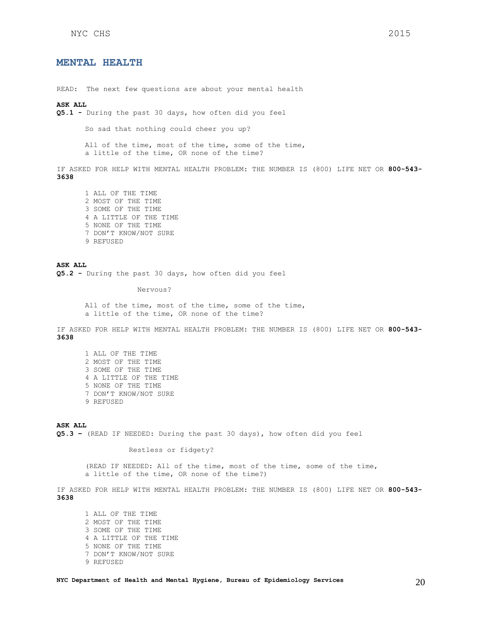# <span id="page-19-0"></span>**MENTAL HEALTH**

READ: The next few questions are about your mental health

## **ASK ALL**

**Q5.1 -** During the past 30 days, how often did you feel

So sad that nothing could cheer you up?

All of the time, most of the time, some of the time, a little of the time, OR none of the time?

IF ASKED FOR HELP WITH MENTAL HEALTH PROBLEM: THE NUMBER IS (800) LIFE NET OR **800-543- 3638**

1 ALL OF THE TIME 2 MOST OF THE TIME 3 SOME OF THE TIME 4 A LITTLE OF THE TIME 5 NONE OF THE TIME 7 DON'T KNOW/NOT SURE 9 REFUSED

#### **ASK ALL Q5.2 -** During the past 30 days, how often did you feel

Nervous?

All of the time, most of the time, some of the time, a little of the time, OR none of the time?

IF ASKED FOR HELP WITH MENTAL HEALTH PROBLEM: THE NUMBER IS (800) LIFE NET OR **800-543- 3638**

1 ALL OF THE TIME 2 MOST OF THE TIME 3 SOME OF THE TIME 4 A LITTLE OF THE TIME 5 NONE OF THE TIME 7 DON'T KNOW/NOT SURE 9 REFUSED

**ASK ALL**

**Q5.3 –** (READ IF NEEDED: During the past 30 days), how often did you feel

Restless or fidgety?

(READ IF NEEDED: All of the time, most of the time, some of the time, a little of the time, OR none of the time?)

IF ASKED FOR HELP WITH MENTAL HEALTH PROBLEM: THE NUMBER IS (800) LIFE NET OR **800-543- 3638**

1 ALL OF THE TIME 2 MOST OF THE TIME 3 SOME OF THE TIME 4 A LITTLE OF THE TIME 5 NONE OF THE TIME 7 DON'T KNOW/NOT SURE 9 REFUSED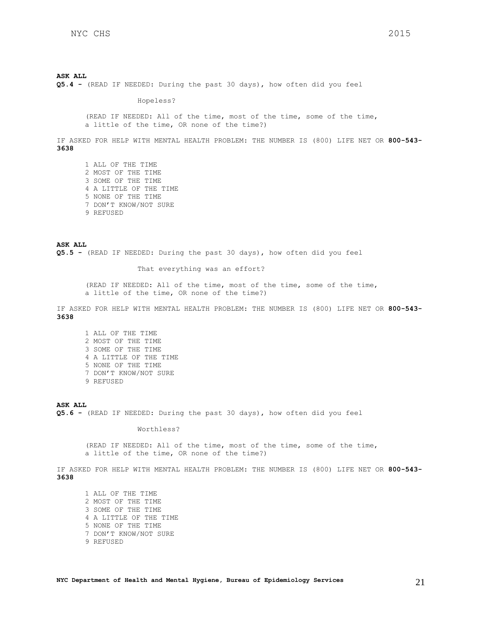**Q5.4 -** (READ IF NEEDED: During the past 30 days), how often did you feel

Hopeless?

(READ IF NEEDED: All of the time, most of the time, some of the time, a little of the time, OR none of the time?)

IF ASKED FOR HELP WITH MENTAL HEALTH PROBLEM: THE NUMBER IS (800) LIFE NET OR **800-543- 3638**

1 ALL OF THE TIME 2 MOST OF THE TIME 3 SOME OF THE TIME 4 A LITTLE OF THE TIME 5 NONE OF THE TIME 7 DON'T KNOW/NOT SURE 9 REFUSED

**ASK ALL Q5.5 -** (READ IF NEEDED: During the past 30 days), how often did you feel

That everything was an effort?

(READ IF NEEDED: All of the time, most of the time, some of the time, a little of the time, OR none of the time?)

IF ASKED FOR HELP WITH MENTAL HEALTH PROBLEM: THE NUMBER IS (800) LIFE NET OR **800-543- 3638**

1 ALL OF THE TIME 2 MOST OF THE TIME 3 SOME OF THE TIME 4 A LITTLE OF THE TIME 5 NONE OF THE TIME 7 DON'T KNOW/NOT SURE 9 REFUSED

#### **ASK ALL**

**Q5.6 -** (READ IF NEEDED: During the past 30 days), how often did you feel

Worthless?

(READ IF NEEDED: All of the time, most of the time, some of the time, a little of the time, OR none of the time?)

IF ASKED FOR HELP WITH MENTAL HEALTH PROBLEM: THE NUMBER IS (800) LIFE NET OR **800-543- 3638**

1 ALL OF THE TIME 2 MOST OF THE TIME 3 SOME OF THE TIME 4 A LITTLE OF THE TIME 5 NONE OF THE TIME 7 DON'T KNOW/NOT SURE 9 REFUSED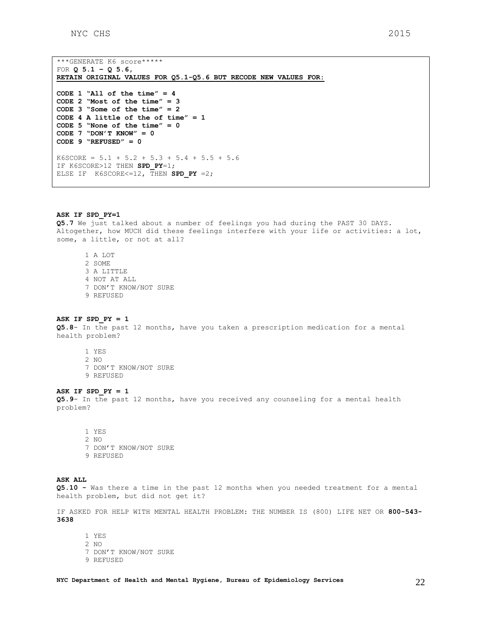\*\*\*GENERATE K6 score\*\*\*\*\* FOR **Q 5.1 – Q 5.6, RETAIN ORIGINAL VALUES FOR Q5.1-Q5.6 BUT RECODE NEW VALUES FOR: CODE 1 "All of the time" = 4 CODE 2 "Most of the time" = 3 CODE 3 "Some of the time" = 2 CODE 4 A little of the of time" = 1 CODE 5 "None of the time" = 0 CODE 7 "DON'T KNOW" = 0 CODE 9 "REFUSED" = 0**   $K6SCORE = 5.1 + 5.2 + 5.3 + 5.4 + 5.5 + 5.6$ IF K6SCORE>12 THEN **SPD\_PY**=1; ELSE IF  $K6SCORE  $= 12$ , THEN SPD PY  $=2$ ;$ 

#### **ASK IF SPD\_PY=1**

**Q5.7** We just talked about a number of feelings you had during the PAST 30 DAYS. Altogether, how MUCH did these feelings interfere with your life or activities: a lot, some, a little, or not at all?

1 A LOT 2 SOME 3 A LITTLE 4 NOT AT ALL 7 DON'T KNOW/NOT SURE 9 REFUSED

### **ASK IF SPD\_PY = 1**

**Q5.8**- In the past 12 months, have you taken a prescription medication for a mental health problem?

- 1 YES 2 NO
- 7 DON'T KNOW/NOT SURE
- 9 REFUSED

#### **ASK IF SPD\_PY = 1**

**Q5.9**- In the past 12 months, have you received any counseling for a mental health problem?

1 YES 2 NO 7 DON'T KNOW/NOT SURE 9 REFUSED

### **ASK ALL**

**Q5.10 -** Was there a time in the past 12 months when you needed treatment for a mental health problem, but did not get it?

IF ASKED FOR HELP WITH MENTAL HEALTH PROBLEM: THE NUMBER IS (800) LIFE NET OR **800-543- 3638**

1 YES 2 NO 7 DON'T KNOW/NOT SURE 9 REFUSED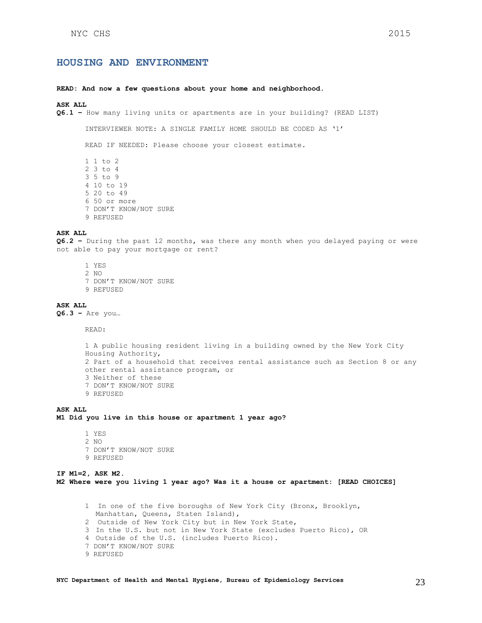# <span id="page-22-0"></span>**HOUSING AND ENVIRONMENT**

#### **READ: And now a few questions about your home and neighborhood.**

# **ASK ALL**

**Q6.1 –** How many living units or apartments are in your building? (READ LIST)

INTERVIEWER NOTE: A SINGLE FAMILY HOME SHOULD BE CODED AS '1'

READ IF NEEDED: Please choose your closest estimate.

1 1 to 2 2 3 to 4 3 5 to 9 4 10 to 19 5 20 to 49 6 50 or more 7 DON'T KNOW/NOT SURE 9 REFUSED

#### **ASK ALL**

**Q6.2 –** During the past 12 months, was there any month when you delayed paying or were not able to pay your mortgage or rent?

- 1 YES
- 2 NO
- 7 DON'T KNOW/NOT SURE
- 9 REFUSED

### **ASK ALL**

**Q6.3 –** Are you…

READ:

```
1 A public housing resident living in a building owned by the New York City 
Housing Authority,
2 Part of a household that receives rental assistance such as Section 8 or any 
other rental assistance program, or
3 Neither of these
7 DON'T KNOW/NOT SURE
9 REFUSED
```
### **ASK ALL M1 Did you live in this house or apartment 1 year ago?**

1 YES 2 NO 7 DON'T KNOW/NOT SURE 9 REFUSED

#### **IF M1=2, ASK M2. M2 Where were you living 1 year ago? Was it a house or apartment: [READ CHOICES]**

1 In one of the five boroughs of New York City (Bronx, Brooklyn, Manhattan, Queens, Staten Island), 2 Outside of New York City but in New York State, 3 In the U.S. but not in New York State (excludes Puerto Rico), OR 4 Outside of the U.S. (includes Puerto Rico). 7 DON'T KNOW/NOT SURE 9 REFUSED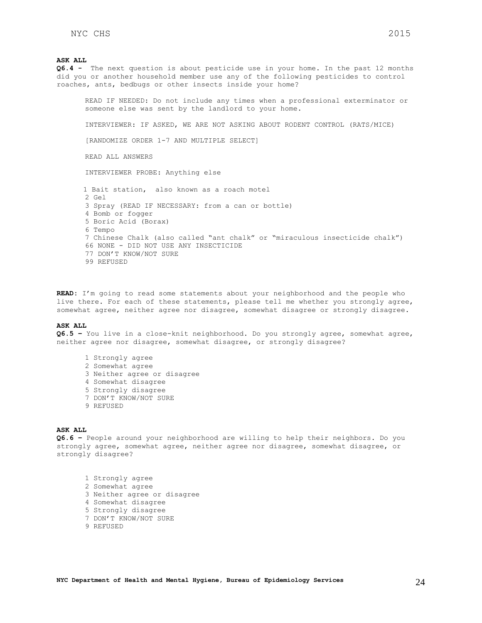**Q6.4 -** The next question is about pesticide use in your home. In the past 12 months did you or another household member use any of the following pesticides to control roaches, ants, bedbugs or other insects inside your home?

READ IF NEEDED: Do not include any times when a professional exterminator or someone else was sent by the landlord to your home.

INTERVIEWER: IF ASKED, WE ARE NOT ASKING ABOUT RODENT CONTROL (RATS/MICE)

[RANDOMIZE ORDER 1-7 AND MULTIPLE SELECT]

READ ALL ANSWERS

INTERVIEWER PROBE: Anything else

 1 Bait station, also known as a roach motel  $2 G \cap 1$ 3 Spray (READ IF NECESSARY: from a can or bottle) 4 Bomb or fogger 5 Boric Acid (Borax) 6 Tempo 7 Chinese Chalk (also called "ant chalk" or "miraculous insecticide chalk") 66 NONE - DID NOT USE ANY INSECTICIDE 77 DON'T KNOW/NOT SURE 99 REFUSED

**READ:** I'm going to read some statements about your neighborhood and the people who live there. For each of these statements, please tell me whether you strongly agree, somewhat agree, neither agree nor disagree, somewhat disagree or strongly disagree.

#### **ASK ALL**

**Q6.5 –** You live in a close-knit neighborhood. Do you strongly agree, somewhat agree, neither agree nor disagree, somewhat disagree, or strongly disagree?

- 1 Strongly agree
- 2 Somewhat agree
- 3 Neither agree or disagree
- 4 Somewhat disagree
- 5 Strongly disagree
- 7 DON'T KNOW/NOT SURE
- 9 REFUSED

#### **ASK ALL**

**Q6.6 –** People around your neighborhood are willing to help their neighbors. Do you strongly agree, somewhat agree, neither agree nor disagree, somewhat disagree, or strongly disagree?

1 Strongly agree 2 Somewhat agree 3 Neither agree or disagree 4 Somewhat disagree 5 Strongly disagree 7 DON'T KNOW/NOT SURE 9 REFUSED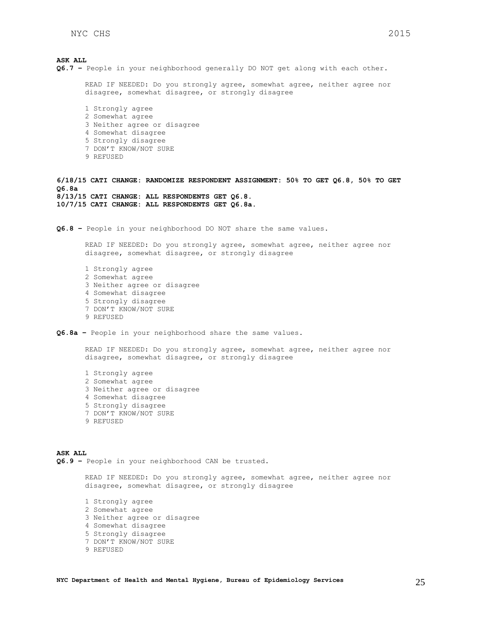**ASK ALL Q6.7 –** People in your neighborhood generally DO NOT get along with each other. READ IF NEEDED: Do you strongly agree, somewhat agree, neither agree nor disagree, somewhat disagree, or strongly disagree 1 Strongly agree 2 Somewhat agree 3 Neither agree or disagree 4 Somewhat disagree 5 Strongly disagree 7 DON'T KNOW/NOT SURE 9 REFUSED **6/18/15 CATI CHANGE: RANDOMIZE RESPONDENT ASSIGNMENT: 50% TO GET Q6.8, 50% TO GET Q6.8a 8/13/15 CATI CHANGE: ALL RESPONDENTS GET Q6.8. 10/7/15 CATI CHANGE: ALL RESPONDENTS GET Q6.8a. Q6.8 –** People in your neighborhood DO NOT share the same values. READ IF NEEDED: Do you strongly agree, somewhat agree, neither agree nor disagree, somewhat disagree, or strongly disagree 1 Strongly agree 2 Somewhat agree 3 Neither agree or disagree 4 Somewhat disagree 5 Strongly disagree 7 DON'T KNOW/NOT SURE 9 REFUSED **Q6.8a –** People in your neighborhood share the same values.

READ IF NEEDED: Do you strongly agree, somewhat agree, neither agree nor disagree, somewhat disagree, or strongly disagree

1 Strongly agree 2 Somewhat agree 3 Neither agree or disagree 4 Somewhat disagree 5 Strongly disagree 7 DON'T KNOW/NOT SURE 9 REFUSED

**ASK ALL Q6.9 –** People in your neighborhood CAN be trusted.

> READ IF NEEDED: Do you strongly agree, somewhat agree, neither agree nor disagree, somewhat disagree, or strongly disagree

1 Strongly agree 2 Somewhat agree 3 Neither agree or disagree 4 Somewhat disagree 5 Strongly disagree 7 DON'T KNOW/NOT SURE 9 REFUSED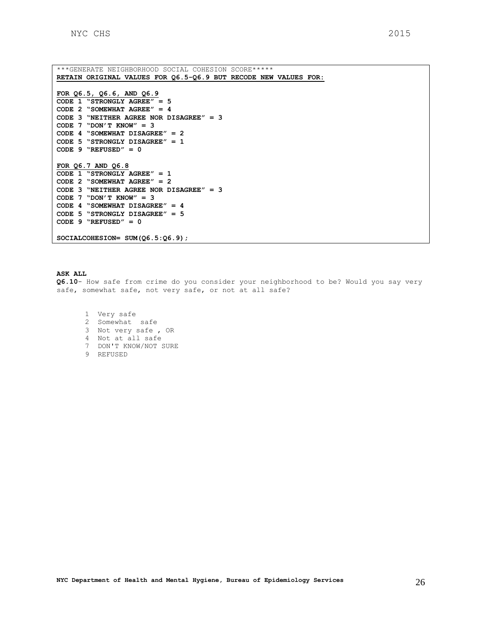```
***GENERATE NEIGHBORHOOD SOCIAL COHESION SCORE***** 
RETAIN ORIGINAL VALUES FOR Q6.5-Q6.9 BUT RECODE NEW VALUES FOR:
FOR Q6.5, Q6.6, AND Q6.9
CODE 1 "STRONGLY AGREE" = 5
CODE 2 "SOMEWHAT AGREE" = 4
CODE 3 "NEITHER AGREE NOR DISAGREE" = 3
CODE 7 "DON'T KNOW" = 3
CODE 4 "SOMEWHAT DISAGREE" = 2
CODE 5 "STRONGLY DISAGREE" = 1
CODE 9 "REFUSED" = 0 
FOR Q6.7 AND Q6.8
CODE 1 "STRONGLY AGREE" = 1
CODE 2 "SOMEWHAT AGREE" = 2
CODE 3 "NEITHER AGREE NOR DISAGREE" = 3
CODE 7 "DON'T KNOW" = 3
CODE 4 "SOMEWHAT DISAGREE" = 4
CODE 5 "STRONGLY DISAGREE" = 5
CODE 9 "REFUSED" = 0 
SOCIALCOHESION= SUM(Q6.5:Q6.9);
```
**Q6.10**- How safe from crime do you consider your neighborhood to be? Would you say very safe, somewhat safe, not very safe, or not at all safe?

1 Very safe 2 Somewhat safe 3 Not very safe , OR 4 Not at all safe 7 DON'T KNOW/NOT SURE 9 REFUSED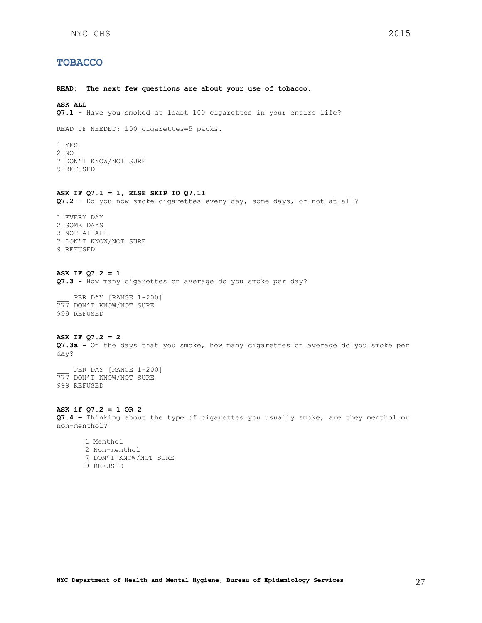# <span id="page-26-0"></span>**TOBACCO**

**READ: The next few questions are about your use of tobacco.** 

# **ASK ALL**

**Q7.1 -** Have you smoked at least 100 cigarettes in your entire life?

READ IF NEEDED: 100 cigarettes=5 packs.

1 YES 2 NO 7 DON'T KNOW/NOT SURE 9 REFUSED

#### **ASK IF Q7.1 = 1, ELSE SKIP TO Q7.11**

**Q7.2 -** Do you now smoke cigarettes every day, some days, or not at all?

- 1 EVERY DAY 2 SOME DAYS 3 NOT AT ALL 7 DON'T KNOW/NOT SURE 9 REFUSED
- **ASK IF Q7.2 = 1 Q7.3 -** How many cigarettes on average do you smoke per day?

PER DAY [RANGE 1-200] 777 DON'T KNOW/NOT SURE 999 REFUSED

#### **ASK IF Q7.2 = 2**

**Q7.3a -** On the days that you smoke, how many cigarettes on average do you smoke per day?

PER DAY [RANGE 1-200] 777 DON'T KNOW/NOT SURE 999 REFUSED

#### **ASK if Q7.2 = 1 OR 2**

**Q7.4 –** Thinking about the type of cigarettes you usually smoke, are they menthol or non-menthol?

1 Menthol 2 Non-menthol 7 DON'T KNOW/NOT SURE 9 REFUSED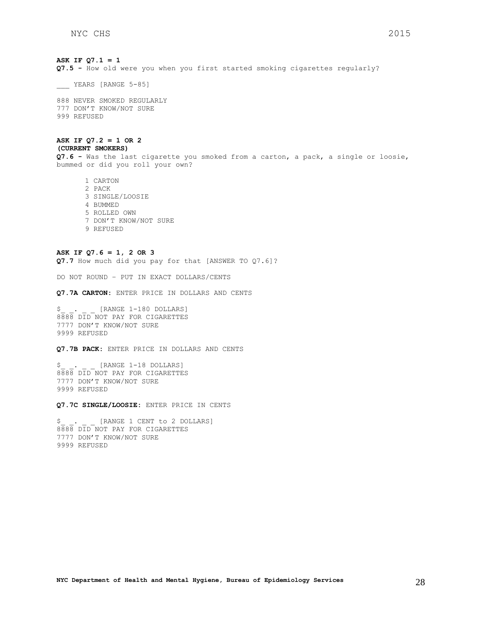# **ASK IF Q7.1 = 1 Q7.5 -** How old were you when you first started smoking cigarettes regularly?

\_\_\_ YEARS [RANGE 5-85]

888 NEVER SMOKED REGULARLY 777 DON'T KNOW/NOT SURE 999 REFUSED

#### **ASK IF Q7.2 = 1 OR 2 (CURRENT SMOKERS)**

**Q7.6 -** Was the last cigarette you smoked from a carton, a pack, a single or loosie, bummed or did you roll your own?

1 CARTON 2 PACK 3 SINGLE/LOOSIE 4 BUMMED 5 ROLLED OWN 7 DON'T KNOW/NOT SURE 9 REFUSED

### **ASK IF Q7.6 = 1, 2 OR 3**

**Q7.7** How much did you pay for that [ANSWER TO Q7.6]?

DO NOT ROUND – PUT IN EXACT DOLLARS/CENTS

**Q7.7A CARTON:** ENTER PRICE IN DOLLARS AND CENTS

[RANGE 1-180 DOLLARS] 8888 DID NOT PAY FOR CIGARETTES 7777 DON'T KNOW/NOT SURE 9999 REFUSED

**Q7.7B PACK:** ENTER PRICE IN DOLLARS AND CENTS

[RANGE 1-18 DOLLARS] 8888 DID NOT PAY FOR CIGARETTES 7777 DON'T KNOW/NOT SURE 9999 REFUSED

**Q7.7C SINGLE/LOOSIE:** ENTER PRICE IN CENTS

\$. [RANGE 1 CENT to 2 DOLLARS] 8888 DID NOT PAY FOR CIGARETTES 7777 DON'T KNOW/NOT SURE 9999 REFUSED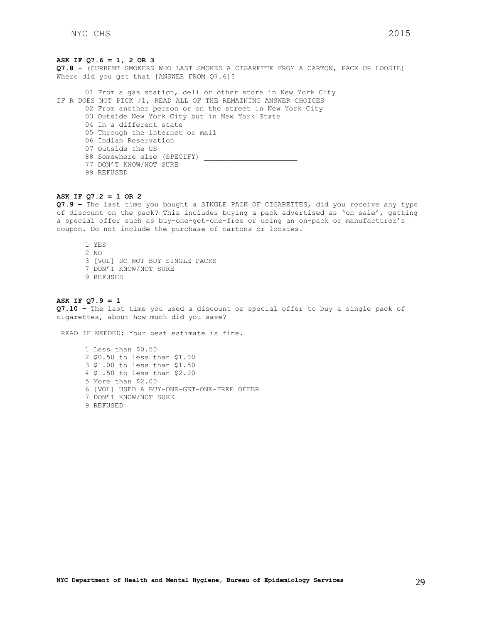#### **ASK IF Q7.6 = 1, 2 OR 3**

**Q7.8 -** (CURRENT SMOKERS WHO LAST SMOKED A CIGARETTE FROM A CARTON, PACK OR LOOSIE) Where did you get that [ANSWER FROM Q7.6]?

01 From a gas station, deli or other store in New York City IF R DOES NOT PICK #1, READ ALL OF THE REMAINING ANSWER CHOICES 02 From another person or on the street in New York City 03 Outside New York City but in New York State 04 In a different state 05 Through the internet or mail 06 Indian Reservation 07 Outside the US 88 Somewhere else (SPECIFY) \_ 77 DON'T KNOW/NOT SURE 99 REFUSED

# **ASK IF Q7.2 = 1 OR 2**

**Q7.9 –** The last time you bought a SINGLE PACK OF CIGARETTES, did you receive any type of discount on the pack? This includes buying a pack advertised as 'on sale', getting a special offer such as buy-one-get-one-free or using an on-pack or manufacturer's coupon. Do not include the purchase of cartons or loosies.

1 YES  $2 NQ$ 3 [VOL] DO NOT BUY SINGLE PACKS 7 DON'T KNOW/NOT SURE 9 REFUSED

#### **ASK IF Q7.9 = 1**

**Q7.10 –** The last time you used a discount or special offer to buy a single pack of cigarettes, about how much did you save?

READ IF NEEDED: Your best estimate is fine.

1 Less than \$0.50 2 \$0.50 to less than \$1.00 3 \$1.00 to less than \$1.50 4 \$1.50 to less than \$2.00 5 More than \$2.00 6 [VOL] USED A BUY-ONE-GET-ONE-FREE OFFER 7 DON'T KNOW/NOT SURE 9 REFUSED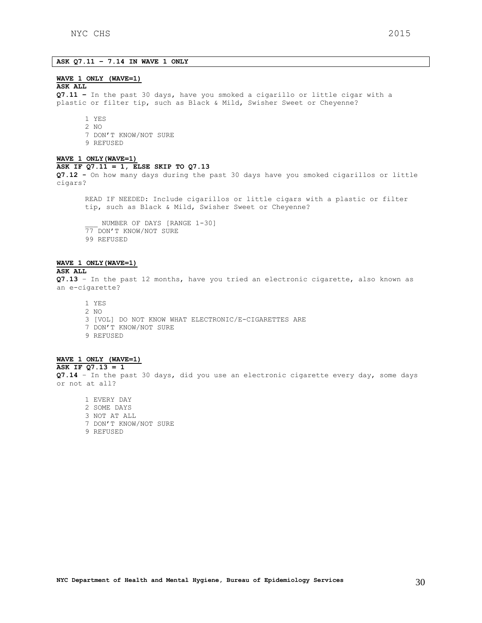# **ASK Q7.11 – 7.14 IN WAVE 1 ONLY**

#### **WAVE 1 ONLY (WAVE=1)**

#### **ASK ALL**

**Q7.11 –** In the past 30 days, have you smoked a cigarillo or little cigar with a plastic or filter tip, such as Black & Mild, Swisher Sweet or Cheyenne?

- 1 YES 2 NO
- 
- 7 DON'T KNOW/NOT SURE
- 9 REFUSED

### **WAVE 1 ONLY(WAVE=1)**

#### **ASK IF Q7.11 = 1, ELSE SKIP TO Q7.13**

**Q7.12 -** On how many days during the past 30 days have you smoked cigarillos or little cigars?

READ IF NEEDED: Include cigarillos or little cigars with a plastic or filter tip, such as Black & Mild, Swisher Sweet or Cheyenne?

NUMBER OF DAYS [RANGE 1-30] 77 DON'T KNOW/NOT SURE 99 REFUSED

# **WAVE 1 ONLY(WAVE=1)**

#### **ASK ALL**

**Q7.13** – In the past 12 months, have you tried an electronic cigarette, also known as an e-cigarette?

1 YES 2 NO 3 [VOL] DO NOT KNOW WHAT ELECTRONIC/E-CIGARETTES ARE 7 DON'T KNOW/NOT SURE 9 REFUSED

# **WAVE 1 ONLY (WAVE=1)**

**ASK IF Q7.13 = 1 Q7.14** – In the past 30 days, did you use an electronic cigarette every day, some days or not at all?

1 EVERY DAY 2 SOME DAYS 3 NOT AT ALL 7 DON'T KNOW/NOT SURE 9 REFUSED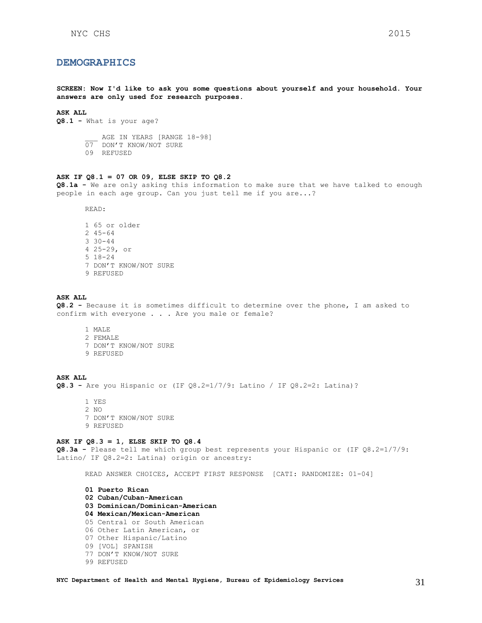# <span id="page-30-0"></span>**DEMOGRAPHICS**

**SCREEN: Now I'd like to ask you some questions about yourself and your household. Your answers are only used for research purposes.**

### **ASK ALL**

**Q8.1 -** What is your age?

AGE IN YEARS [RANGE 18-98]

- 07 DON'T KNOW/NOT SURE
- 09 REFUSED

#### **ASK IF Q8.1 = 07 OR 09, ELSE SKIP TO Q8.2**

**Q8.1a -** We are only asking this information to make sure that we have talked to enough people in each age group. Can you just tell me if you are...?

READ:

1 65 or older 2 45-64 3 30-44 4 25-29, or 5 18-24 7 DON'T KNOW/NOT SURE 9 REFUSED

### **ASK ALL**

**Q8.2 -** Because it is sometimes difficult to determine over the phone, I am asked to confirm with everyone . . . Are you male or female?

- 1 MALE
- 2 FEMALE
- 7 DON'T KNOW/NOT SURE
- 9 REFUSED

#### **ASK ALL**

**Q8.3 -** Are you Hispanic or (IF Q8.2=1/7/9: Latino / IF Q8.2=2: Latina)?

1 YES 2 NO 7 DON'T KNOW/NOT SURE 9 REFUSED

#### **ASK IF Q8.3 = 1, ELSE SKIP TO Q8.4**

**Q8.3a -** Please tell me which group best represents your Hispanic or (IF Q8.2=1/7/9: Latino/ IF Q8.2=2: Latina) origin or ancestry:

READ ANSWER CHOICES, ACCEPT FIRST RESPONSE [CATI: RANDOMIZE: 01-04]

**01 Puerto Rican 02 Cuban/Cuban-American 03 Dominican/Dominican-American 04 Mexican/Mexican-American**  05 Central or South American 06 Other Latin American, or 07 Other Hispanic/Latino 09 [VOL] SPANISH 77 DON'T KNOW/NOT SURE 99 REFUSED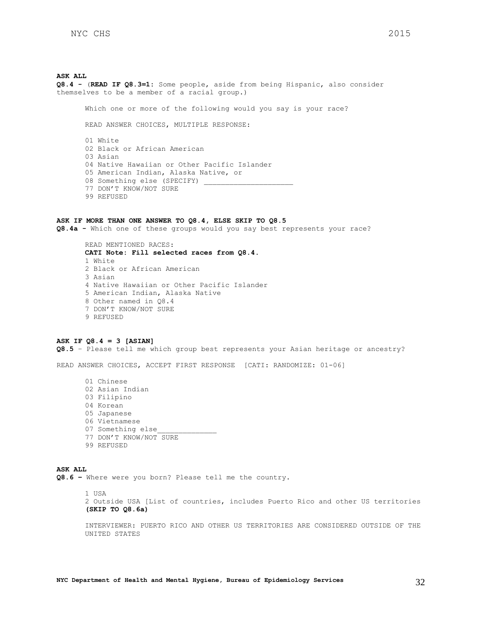**ASK ALL Q8.4 -** (**READ IF Q8.3=1:** Some people, aside from being Hispanic, also consider themselves to be a member of a racial group.) Which one or more of the following would you say is your race? READ ANSWER CHOICES, MULTIPLE RESPONSE: 01 White 02 Black or African American 03 Asian 04 Native Hawaiian or Other Pacific Islander 05 American Indian, Alaska Native, or 08 Something else (SPECIFY) 77 DON'T KNOW/NOT SURE

99 REFUSED

#### **ASK IF MORE THAN ONE ANSWER TO Q8.4, ELSE SKIP TO Q8.5**

**Q8.4a -** Which one of these groups would you say best represents your race?

READ MENTIONED RACES: **CATI Note: Fill selected races from Q8.4.** 1 White 2 Black or African American 3 Asian 4 Native Hawaiian or Other Pacific Islander 5 American Indian, Alaska Native 8 Other named in Q8.4 7 DON'T KNOW/NOT SURE 9 REFUSED

#### **ASK IF Q8.4 = 3 [ASIAN]**

**Q8.5** – Please tell me which group best represents your Asian heritage or ancestry?

READ ANSWER CHOICES, ACCEPT FIRST RESPONSE [CATI: RANDOMIZE: 01-06]

01 Chinese 02 Asian Indian 03 Filipino 04 Korean 05 Japanese 06 Vietnamese 07 Something else 77 DON'T KNOW/NOT SURE 99 REFUSED

### **ASK ALL**

**Q8.6 –** Where were you born? Please tell me the country.

1 USA 2 Outside USA [List of countries, includes Puerto Rico and other US territories **(SKIP TO Q8.6a)**

INTERVIEWER: PUERTO RICO AND OTHER US TERRITORIES ARE CONSIDERED OUTSIDE OF THE UNITED STATES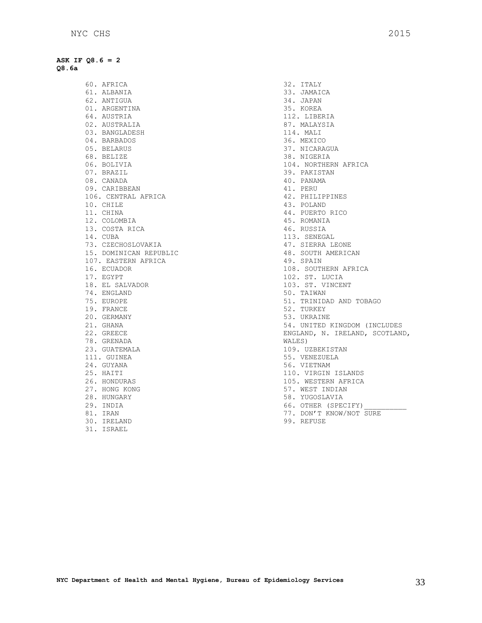**ASK IF Q8.6 = 2 Q8.6a**

> 60. AFRICA 61. ALBANIA 62. ANTIGUA 01. ARGENTINA 64. AUSTRIA 02. AUSTRALIA 03. BANGLADESH 04. BARBADOS 05. BELARUS 68. BELIZE 06. BOLIVIA 07. BRAZIL 08. CANADA 09. CARIBBEAN 106. CENTRAL AFRICA 10. CHILE 11. CHINA 12. COLOMBIA 13. COSTA RICA 14. CUBA 73. CZECHOSLOVAKIA 15. DOMINICAN REPUBLIC 107. EASTERN AFRICA 16. ECUADOR 17. EGYPT 18. EL SALVADOR 74. ENGLAND 75. EUROPE 19. FRANCE 20. GERMANY 21. GHANA 22. GREECE 78. GRENADA 23. GUATEMALA 111. GUINEA 24. GUYANA 25. HAITI 26. HONDURAS 27. HONG KONG 28. HUNGARY 29. INDIA 81. IRAN 30. IRELAND

31. ISRAEL

32. ITALY 33. JAMAICA 34. JAPAN 35. KOREA 112. LIBERIA 87. MALAYSIA 114. MALI 36. MEXICO 37. NICARAGUA 38. NIGERIA 104. NORTHERN AFRICA 39. PAKISTAN 40. PANAMA 41. PERU 42. PHILIPPINES 43. POLAND 44. PUERTO RICO 45. ROMANIA 46. RUSSIA 113. SENEGAL 47. SIERRA LEONE 48. SOUTH AMERICAN 49. SPAIN 108. SOUTHERN AFRICA 102. ST. LUCIA 103. ST. VINCENT 50. TAIWAN 51. TRINIDAD AND TOBAGO 52. TURKEY 53. UKRAINE 54. UNITED KINGDOM (INCLUDES ENGLAND, N. IRELAND, SCOTLAND, WALES) 109. UZBEKISTAN 55. VENEZUELA 56. VIETNAM 110. VIRGIN ISLANDS 105. WESTERN AFRICA 57. WEST INDIAN 58. YUGOSLAVIA 66. OTHER (SPECIFY) 77. DON'T KNOW/NOT SURE

99. REFUSE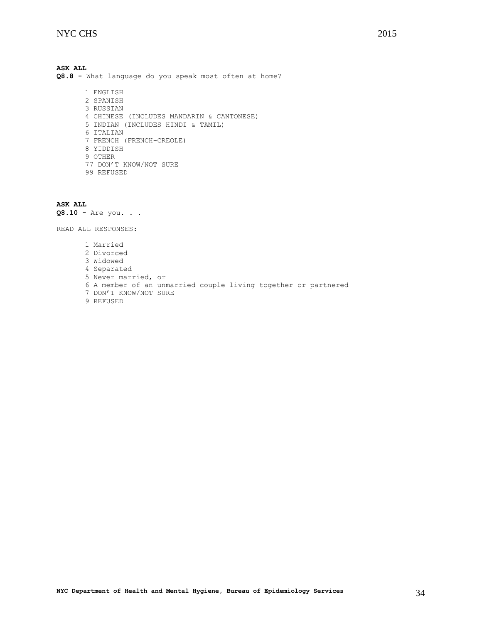**ASK ALL Q8.8 -** What language do you speak most often at home? 1 ENGLISH

2 SPANISH 3 RUSSIAN 4 CHINESE (INCLUDES MANDARIN & CANTONESE) 5 INDIAN (INCLUDES HINDI & TAMIL) 6 ITALIAN 7 FRENCH (FRENCH-CREOLE) 8 YIDDISH 9 OTHER 77 DON'T KNOW/NOT SURE 99 REFUSED

**ASK ALL Q8.10 -** Are you. . .

READ ALL RESPONSES:

1 Married 2 Divorced 3 Widowed 4 Separated 5 Never married, or 6 A member of an unmarried couple living together or partnered 7 DON'T KNOW/NOT SURE 9 REFUSED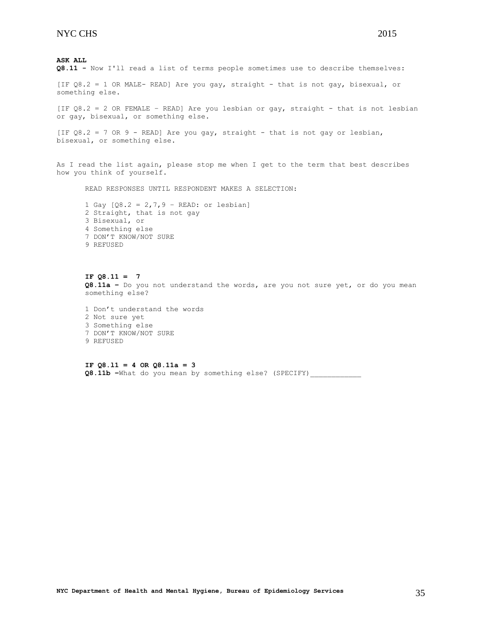[IF Q8.2 = 1 OR MALE- READ] Are you gay, straight - that is not gay, bisexual, or something else.

[IF Q8.2 = 2 OR FEMALE – READ] Are you lesbian or gay, straight - that is not lesbian or gay, bisexual, or something else.

[IF  $Q8.2 = 7$  OR 9 - READ] Are you gay, straight - that is not gay or lesbian, bisexual, or something else.

As I read the list again, please stop me when I get to the term that best describes how you think of yourself.

READ RESPONSES UNTIL RESPONDENT MAKES A SELECTION:

1 Gay  $[Q8.2 = 2, 7, 9 - READ:$  or lesbian] 2 Straight, that is not gay 3 Bisexual, or 4 Something else 7 DON'T KNOW/NOT SURE 9 REFUSED

**IF Q8.11 = 7 Q8.11a –** Do you not understand the words, are you not sure yet, or do you mean something else?

1 Don't understand the words 2 Not sure yet 3 Something else 7 DON'T KNOW/NOT SURE 9 REFUSED

**IF Q8.l1 = 4 OR Q8.11a = 3 Q8.11b –**What do you mean by something else? (SPECIFY)\_\_\_\_\_\_\_\_\_\_\_\_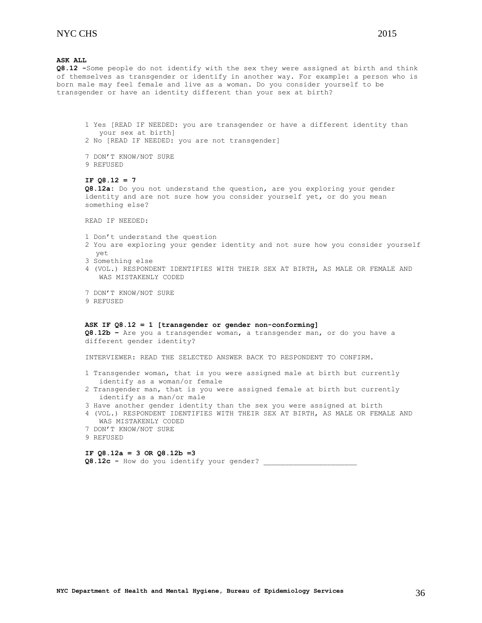**Q8.12 -**Some people do not identify with the sex they were assigned at birth and think of themselves as transgender or identify in another way. For example: a person who is born male may feel female and live as a woman. Do you consider yourself to be transgender or have an identity different than your sex at birth?

1 Yes [READ IF NEEDED: you are transgender or have a different identity than your sex at birth] 2 No [READ IF NEEDED: you are not transgender] 7 DON'T KNOW/NOT SURE 9 REFUSED **IF Q8.12 = 7 Q8.12a:** Do you not understand the question, are you exploring your gender identity and are not sure how you consider yourself yet, or do you mean something else? READ IF NEEDED: 1 Don't understand the question 2 You are exploring your gender identity and not sure how you consider yourself yet 3 Something else 4 (VOL.) RESPONDENT IDENTIFIES WITH THEIR SEX AT BIRTH, AS MALE OR FEMALE AND WAS MISTAKENLY CODED 7 DON'T KNOW/NOT SURE 9 REFUSED **ASK IF Q8.12 = 1 [transgender or gender non-conforming] Q8.12b –** Are you a transgender woman, a transgender man, or do you have a different gender identity? INTERVIEWER: READ THE SELECTED ANSWER BACK TO RESPONDENT TO CONFIRM. 1 Transgender woman, that is you were assigned male at birth but currently identify as a woman/or female 2 Transgender man, that is you were assigned female at birth but currently identify as a man/or male 3 Have another gender identity than the sex you were assigned at birth 4 (VOL.) RESPONDENT IDENTIFIES WITH THEIR SEX AT BIRTH, AS MALE OR FEMALE AND WAS MISTAKENLY CODED 7 DON'T KNOW/NOT SURE 9 REFUSED **IF Q8.12a = 3 OR Q8.12b =3 Q8.12c -** How do you identify your gender? \_\_\_\_\_\_\_\_\_\_\_\_\_\_\_\_\_\_\_\_\_\_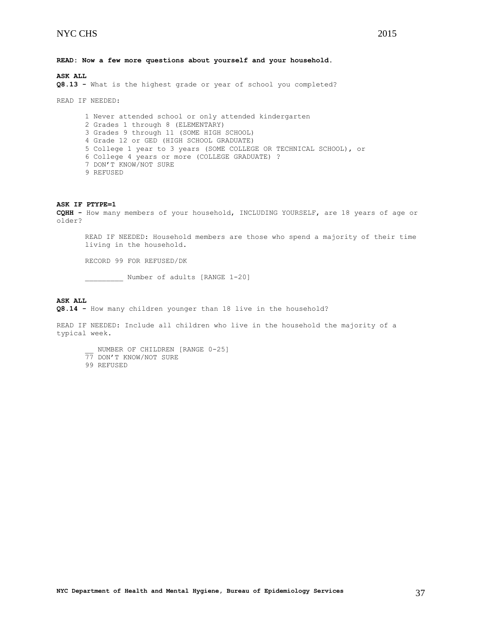**Q8.13 -** What is the highest grade or year of school you completed?

READ IF NEEDED:

1 Never attended school or only attended kindergarten 2 Grades 1 through 8 (ELEMENTARY) 3 Grades 9 through 11 (SOME HIGH SCHOOL) 4 Grade 12 or GED (HIGH SCHOOL GRADUATE) 5 College 1 year to 3 years (SOME COLLEGE OR TECHNICAL SCHOOL), or 6 College 4 years or more (COLLEGE GRADUATE) ? 7 DON'T KNOW/NOT SURE 9 REFUSED

#### **ASK IF PTYPE=1**

**CQHH -** How many members of your household, INCLUDING YOURSELF, are 18 years of age or older?

READ IF NEEDED: Household members are those who spend a majority of their time living in the household.

RECORD 99 FOR REFUSED/DK

\_\_\_\_\_\_\_\_\_ Number of adults [RANGE 1-20]

# **ASK ALL**

**Q8.14 -** How many children younger than 18 live in the household?

READ IF NEEDED: Include all children who live in the household the majority of a typical week.

- NUMBER OF CHILDREN [RANGE 0-25] 77 DON'T KNOW/NOT SURE
- 99 REFUSED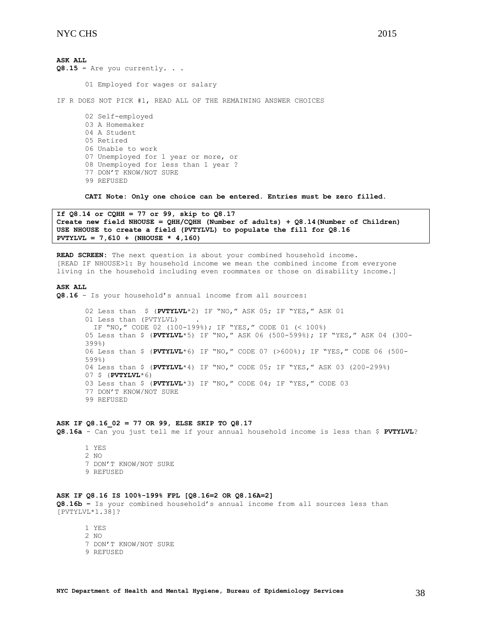**ASK ALL Q8.15 -** Are you currently. . .

01 Employed for wages or salary

IF R DOES NOT PICK #1, READ ALL OF THE REMAINING ANSWER CHOICES

02 Self-employed 03 A Homemaker 04 A Student 05 Retired 06 Unable to work 07 Unemployed for 1 year or more, or 08 Unemployed for less than 1 year ? 77 DON'T KNOW/NOT SURE 99 REFUSED

**CATI Note: Only one choice can be entered. Entries must be zero filled.**

```
If Q8.14 or CQHH = 77 or 99, skip to Q8.17
Create new field NHOUSE = QHH/CQHH (Number of adults) + Q8.14(Number of Children)
USE NHOUSE to create a field (PVTYLVL) to populate the fill for Q8.16
PVTYLVL = 7,610 + (NHOUSE * 4,160)
```
**READ SCREEN:** The next question is about your combined household income. [READ IF NHOUSE>1: By household income we mean the combined income from everyone living in the household including even roommates or those on disability income.]

### **ASK ALL**

**Q8.16** - Is your household's annual income from all sources:

```
02 Less than $ (PVTYLVL*2) IF "NO," ASK 05; IF "YES," ASK 01 
01 Less than (PVTYLVL)
  IF "NO," CODE 02 (100-199%); IF "YES," CODE 01 (< 100%)
05 Less than $ (PVTYLVL*5) IF "NO," ASK 06 (500-599%); IF "YES," ASK 04 (300-
399%) 
06 Less than $ (PVTYLVL*6) IF "NO," CODE 07 (>600%); IF "YES," CODE 06 (500-
599%) 
04 Less than $ (PVTYLVL*4) IF "NO," CODE 05; IF "YES," ASK 03 (200-299%)
07 $ (PVTYLVL*6)
03 Less than $ (PVTYLVL*3) IF "NO," CODE 04; IF "YES," CODE 03
77 DON'T KNOW/NOT SURE 
99 REFUSED
```
#### **ASK IF Q8.16\_02 = 77 OR 99, ELSE SKIP TO Q8.17**

**Q8.16a** - Can you just tell me if your annual household income is less than \$ **PVTYLVL**?

1 YES 2 NO 7 DON'T KNOW/NOT SURE 9 REFUSED

#### **ASK IF Q8.16 IS 100%-199% FPL [Q8.16=2 OR Q8.16A=2]**

**Q8.16b –** Is your combined household's annual income from all sources less than [PVTYLVL\*1.38]?

1 YES 2  $N<sub>O</sub>$ 7 DON'T KNOW/NOT SURE 9 REFUSED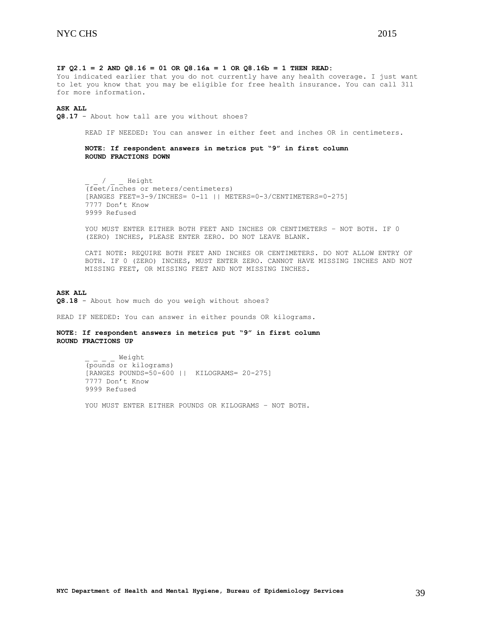#### **IF Q2.1 = 2 AND Q8.16 = 01 OR Q8.16a = 1 OR Q8.16b = 1 THEN READ:**

You indicated earlier that you do not currently have any health coverage. I just want to let you know that you may be eligible for free health insurance. You can call 311 for more information.

#### **ASK ALL**

**Q8.17** - About how tall are you without shoes?

READ IF NEEDED: You can answer in either feet and inches OR in centimeters.

# **NOTE: If respondent answers in metrics put "9" in first column ROUND FRACTIONS DOWN**

/ Height (feet/inches or meters/centimeters) [RANGES FEET=3-9/INCHES= 0-11 || METERS=0-3/CENTIMETERS=0-275] 7777 Don't Know 9999 Refused

YOU MUST ENTER EITHER BOTH FEET AND INCHES OR CENTIMETERS – NOT BOTH. IF 0 (ZERO) INCHES, PLEASE ENTER ZERO. DO NOT LEAVE BLANK.

CATI NOTE: REQUIRE BOTH FEET AND INCHES OR CENTIMETERS. DO NOT ALLOW ENTRY OF BOTH. IF 0 (ZERO) INCHES, MUST ENTER ZERO. CANNOT HAVE MISSING INCHES AND NOT MISSING FEET, OR MISSING FEET AND NOT MISSING INCHES.

#### **ASK ALL**

**Q8.18** - About how much do you weigh without shoes?

READ IF NEEDED: You can answer in either pounds OR kilograms.

# **NOTE: If respondent answers in metrics put "9" in first column ROUND FRACTIONS UP**

\_ Weight (pounds or kilograms) [RANGES POUNDS=50-600 || KILOGRAMS= 20-275] 7777 Don't Know 9999 Refused

YOU MUST ENTER EITHER POUNDS OR KILOGRAMS – NOT BOTH.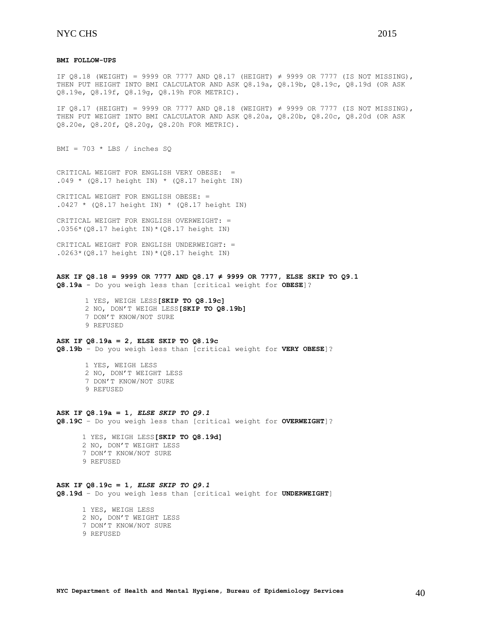### **BMI FOLLOW-UPS**

IF Q8.18 (WEIGHT) = 9999 OR 7777 AND Q8.17 (HEIGHT)  $\neq$  9999 OR 7777 (IS NOT MISSING), THEN PUT HEIGHT INTO BMI CALCULATOR AND ASK Q8.19a, Q8.19b, Q8.19c, Q8.19d (OR ASK Q8.19e, Q8.19f, Q8.19g, Q8.19h FOR METRIC).

IF Q8.17 (HEIGHT) = 9999 OR 7777 AND Q8.18 (WEIGHT) ≠ 9999 OR 7777 (IS NOT MISSING), THEN PUT WEIGHT INTO BMI CALCULATOR AND ASK Q8.20a, Q8.20b, Q8.20c, Q8.20d (OR ASK Q8.20e, Q8.20f, Q8.20g, Q8.20h FOR METRIC).

BMI =  $703 * LBS / inches SQ$ 

CRITICAL WEIGHT FOR ENGLISH VERY OBESE: =  $.049 * (Q8.17 \text{ height} \text{IN}) * (Q8.17 \text{ height} \text{IN})$ 

CRITICAL WEIGHT FOR ENGLISH OBESE: =  $.0427 * (Q8.17 \text{ height} \text{IN}) * (Q8.17 \text{ height} \text{IN})$ 

CRITICAL WEIGHT FOR ENGLISH OVERWEIGHT: = .0356\*(Q8.17 height IN)\*(Q8.17 height IN)

CRITICAL WEIGHT FOR ENGLISH UNDERWEIGHT: =  $.0263*(08.17 \text{ height} \text{IN})*(08.17 \text{ height} \text{IN})$ 

# **ASK IF Q8.18 = 9999 OR 7777 AND Q8.17 ≠ 9999 OR 7777, ELSE SKIP TO Q9.1**

**Q8.19a** - Do you weigh less than [critical weight for **OBESE**]?

1 YES, WEIGH LESS**[SKIP TO Q8.19c]** 2 NO, DON'T WEIGH LESS**[SKIP TO Q8.19b]** 7 DON'T KNOW/NOT SURE 9 REFUSED

#### **ASK IF Q8.19a = 2, ELSE SKIP TO Q8.19c**

**Q8.19b** – Do you weigh less than [critical weight for **VERY OBESE**]?

1 YES, WEIGH LESS 2 NO, DON'T WEIGHT LESS 7 DON'T KNOW/NOT SURE 9 REFUSED

#### **ASK IF Q8.19a = 1,** *ELSE SKIP TO Q9.1*

**Q8.19C** – Do you weigh less than [critical weight for **OVERWEIGHT**]?

# 1 YES, WEIGH LESS**[SKIP TO Q8.19d]**

- 2 NO, DON'T WEIGHT LESS
- 7 DON'T KNOW/NOT SURE
- 9 REFUSED

# **ASK IF Q8.19c = 1,** *ELSE SKIP TO Q9.1* **Q8.19d** – Do you weigh less than [critical weight for **UNDERWEIGHT**]

 1 YES, WEIGH LESS 2 NO, DON'T WEIGHT LESS 7 DON'T KNOW/NOT SURE 9 REFUSED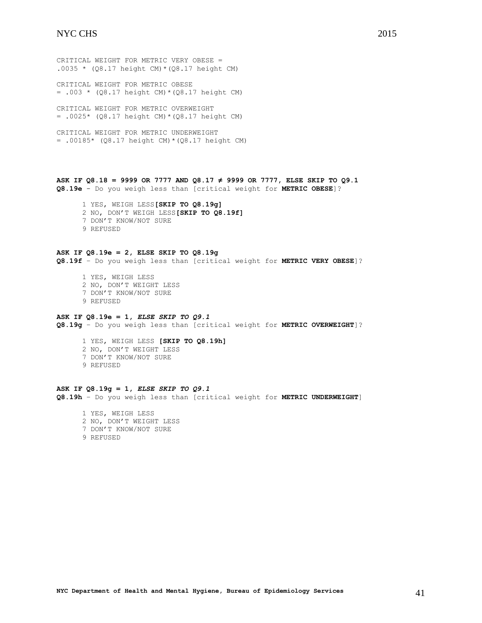CRITICAL WEIGHT FOR METRIC VERY OBESE = .0035 \*  $(Q8.17 \text{ height } CM) * (Q8.17 \text{ height } CM)$ 

CRITICAL WEIGHT FOR METRIC OBESE = .003 \* (Q8.17 height CM)\*(Q8.17 height CM)

CRITICAL WEIGHT FOR METRIC OVERWEIGHT  $= .0025*$  (Q8.17 height CM) \* (Q8.17 height CM)

CRITICAL WEIGHT FOR METRIC UNDERWEIGHT = .00185\* (Q8.17 height CM)\*(Q8.17 height CM)

**ASK IF Q8.18 = 9999 OR 7777 AND Q8.17 ≠ 9999 OR 7777, ELSE SKIP TO Q9.1 Q8.19e** - Do you weigh less than [critical weight for **METRIC OBESE**]?

- 1 YES, WEIGH LESS**[SKIP TO Q8.19g]**
- 2 NO, DON'T WEIGH LESS**[SKIP TO Q8.19f]**
- 7 DON'T KNOW/NOT SURE
- 9 REFUSED

### **ASK IF Q8.19e = 2, ELSE SKIP TO Q8.19g**

**Q8.19f** – Do you weigh less than [critical weight for **METRIC VERY OBESE**]?

 1 YES, WEIGH LESS 2 NO, DON'T WEIGHT LESS 7 DON'T KNOW/NOT SURE 9 REFUSED

# **ASK IF Q8.19e = 1,** *ELSE SKIP TO Q9.1* **Q8.19g** – Do you weigh less than [critical weight for **METRIC OVERWEIGHT**]?

 1 YES, WEIGH LESS **[SKIP TO Q8.19h]** 2 NO, DON'T WEIGHT LESS 7 DON'T KNOW/NOT SURE 9 REFUSED

#### **ASK IF Q8.19g = 1,** *ELSE SKIP TO Q9.1*

**Q8.19h** – Do you weigh less than [critical weight for **METRIC UNDERWEIGHT**]

 1 YES, WEIGH LESS 2 NO, DON'T WEIGHT LESS 7 DON'T KNOW/NOT SURE 9 REFUSED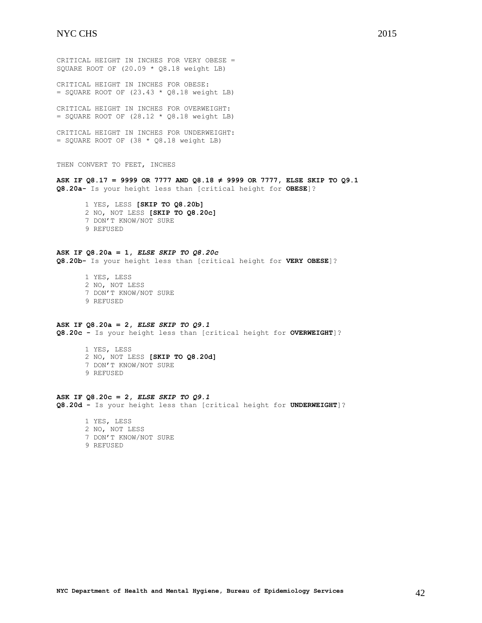CRITICAL HEIGHT IN INCHES FOR VERY OBESE = SQUARE ROOT OF (20.09 \* Q8.18 weight LB) CRITICAL HEIGHT IN INCHES FOR OBESE:  $=$  SQUARE ROOT OF (23.43  $*$  Q8.18 weight LB) CRITICAL HEIGHT IN INCHES FOR OVERWEIGHT:  $=$  SQUARE ROOT OF (28.12  $*$  Q8.18 weight LB) CRITICAL HEIGHT IN INCHES FOR UNDERWEIGHT:  $=$  SQUARE ROOT OF (38  $*$  Q8.18 weight LB) THEN CONVERT TO FEET, INCHES **ASK IF Q8.17 = 9999 OR 7777 AND Q8.18 ≠ 9999 OR 7777, ELSE SKIP TO Q9.1 Q8.20a-** Is your height less than [critical height for **OBESE**]? 1 YES, LESS **[SKIP TO Q8.20b]** 2 NO, NOT LESS **[SKIP TO Q8.20c]** 7 DON'T KNOW/NOT SURE 9 REFUSED **ASK IF Q8.20a = 1,** *ELSE SKIP TO Q8.20c* **Q8.20b-** Is your height less than [critical height for **VERY OBESE**]? 1 YES, LESS 2 NO, NOT LESS 7 DON'T KNOW/NOT SURE 9 REFUSED **ASK IF Q8.20a = 2,** *ELSE SKIP TO Q9.1* **Q8.20c -** Is your height less than [critical height for **OVERWEIGHT**]? 1 YES, LESS 2 NO, NOT LESS **[SKIP TO Q8.20d]** 7 DON'T KNOW/NOT SURE

9 REFUSED

**ASK IF Q8.20c = 2,** *ELSE SKIP TO Q9.1* **Q8.20d -** Is your height less than [critical height for **UNDERWEIGHT**]?

1 YES, LESS 2 NO, NOT LESS 7 DON'T KNOW/NOT SURE 9 REFUSED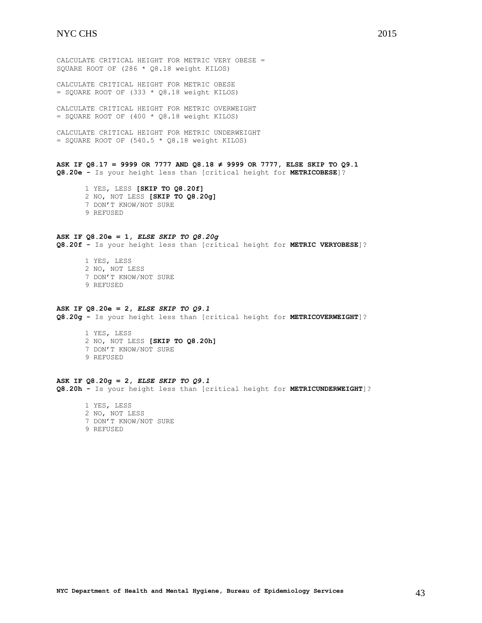CALCULATE CRITICAL HEIGHT FOR METRIC VERY OBESE = SQUARE ROOT OF (286 \* Q8.18 weight KILOS)

CALCULATE CRITICAL HEIGHT FOR METRIC OBESE  $=$  SQUARE ROOT OF (333  $*$  Q8.18 weight KILOS)

CALCULATE CRITICAL HEIGHT FOR METRIC OVERWEIGHT  $=$  SQUARE ROOT OF (400  $*$  Q8.18 weight KILOS)

CALCULATE CRITICAL HEIGHT FOR METRIC UNDERWEIGHT  $=$  SQUARE ROOT OF (540.5  $*$  Q8.18 weight KILOS)

**ASK IF Q8.17 = 9999 OR 7777 AND Q8.18 ≠ 9999 OR 7777, ELSE SKIP TO Q9.1 Q8.20e -** Is your height less than [critical height for **METRICOBESE**]?

1 YES, LESS **[SKIP TO Q8.20f]** 2 NO, NOT LESS **[SKIP TO Q8.20g]** 7 DON'T KNOW/NOT SURE 9 REFUSED

# **ASK IF Q8.20e = 1,** *ELSE SKIP TO Q8.20g*

**Q8.20f -** Is your height less than [critical height for **METRIC VERYOBESE**]?

1 YES, LESS 2 NO, NOT LESS 7 DON'T KNOW/NOT SURE 9 REFUSED

#### **ASK IF Q8.20e = 2,** *ELSE SKIP TO Q9.1*

**Q8.20g -** Is your height less than [critical height for **METRICOVERWEIGHT**]?

1 YES, LESS 2 NO, NOT LESS **[SKIP TO Q8.20h]** 7 DON'T KNOW/NOT SURE 9 REFUSED

# **ASK IF Q8.20g = 2,** *ELSE SKIP TO Q9.1*

**Q8.20h -** Is your height less than [critical height for **METRICUNDERWEIGHT**]?

1 YES, LESS 2 NO, NOT LESS 7 DON'T KNOW/NOT SURE 9 REFUSED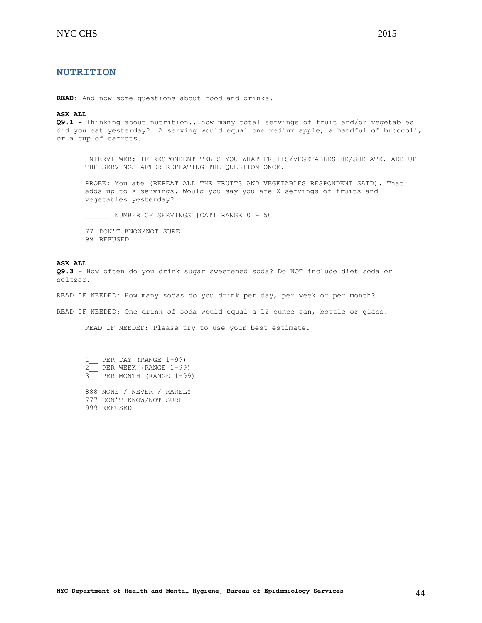<span id="page-43-0"></span>**READ:** And now some questions about food and drinks.

#### **ASK ALL**

**Q9.1 -** Thinking about nutrition...how many total servings of fruit and/or vegetables did you eat yesterday? A serving would equal one medium apple, a handful of broccoli, or a cup of carrots.

INTERVIEWER: IF RESPONDENT TELLS YOU WHAT FRUITS/VEGETABLES HE/SHE ATE, ADD UP THE SERVINGS AFTER REPEATING THE QUESTION ONCE.

PROBE: You ate (REPEAT ALL THE FRUITS AND VEGETABLES RESPONDENT SAID). That adds up to X servings. Would you say you ate X servings of fruits and vegetables yesterday?

NUMBER OF SERVINGS [CATI RANGE 0 - 50]

77 DON'T KNOW/NOT SURE 99 REFUSED

#### **ASK ALL**

**Q9.3** – How often do you drink sugar sweetened soda? Do NOT include diet soda or seltzer.

READ IF NEEDED: How many sodas do you drink per day, per week or per month?

READ IF NEEDED: One drink of soda would equal a 12 ounce can, bottle or glass.

READ IF NEEDED: Please try to use your best estimate.

1 PER DAY (RANGE 1-99) 2\_\_ PER WEEK (RANGE 1-99) 3\_\_ PER MONTH (RANGE 1-99)

888 NONE / NEVER / RARELY 777 DON'T KNOW/NOT SURE 999 REFUSED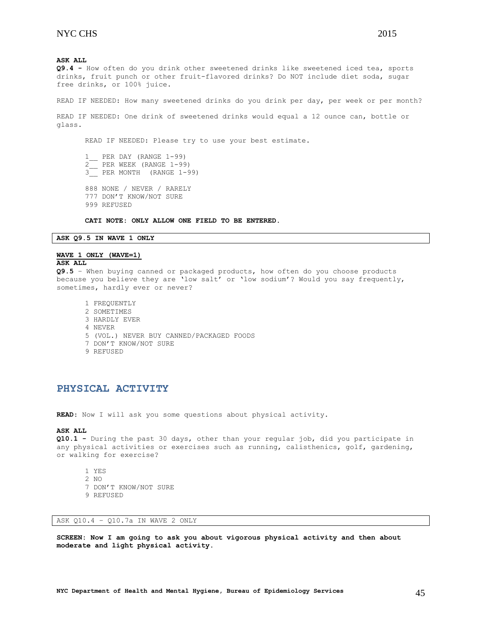**Q9.4 -** How often do you drink other sweetened drinks like sweetened iced tea, sports drinks, fruit punch or other fruit-flavored drinks? Do NOT include diet soda, sugar free drinks, or 100% juice.

READ IF NEEDED: How many sweetened drinks do you drink per day, per week or per month?

READ IF NEEDED: One drink of sweetened drinks would equal a 12 ounce can, bottle or glass.

READ IF NEEDED: Please try to use your best estimate.

1 PER DAY (RANGE 1-99) 2\_\_ PER WEEK (RANGE 1-99) 3\_\_ PER MONTH (RANGE 1-99) 888 NONE / NEVER / RARELY 777 DON'T KNOW/NOT SURE 999 REFUSED

**CATI NOTE: ONLY ALLOW ONE FIELD TO BE ENTERED.**

### **ASK Q9.5 IN WAVE 1 ONLY**

#### **WAVE 1 ONLY (WAVE=1)**

#### **ASK ALL**

**Q9.5** – When buying canned or packaged products, how often do you choose products because you believe they are 'low salt' or 'low sodium'? Would you say frequently, sometimes, hardly ever or never?

1 FREQUENTLY 2 SOMETIMES 3 HARDLY EVER 4 NEVER 5 (VOL.) NEVER BUY CANNED/PACKAGED FOODS 7 DON'T KNOW/NOT SURE 9 REFUSED

# <span id="page-44-0"></span>**PHYSICAL ACTIVITY**

**READ**: Now I will ask you some questions about physical activity.

#### **ASK ALL**

**Q10.1 -** During the past 30 days, other than your regular job, did you participate in any physical activities or exercises such as running, calisthenics, golf, gardening, or walking for exercise?

- 1 YES 2 NO 7 DON'T KNOW/NOT SURE
- 9 REFUSED

ASK Q10.4 – Q10.7a IN WAVE 2 ONLY

**SCREEN: Now I am going to ask you about vigorous physical activity and then about moderate and light physical activity.**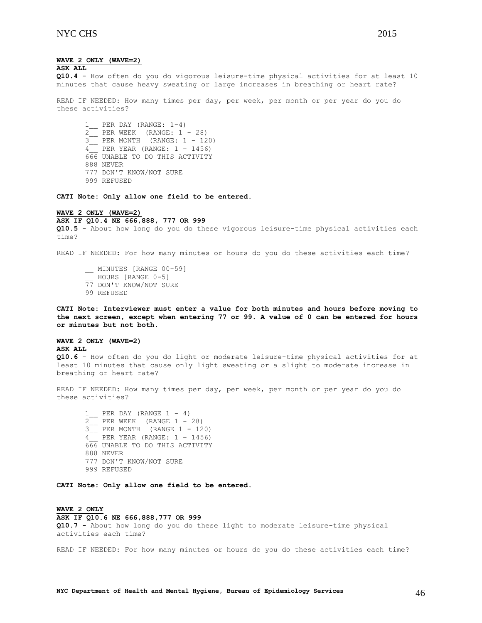# **WAVE 2 ONLY (WAVE=2)**

**ASK ALL**

**Q10.4** - How often do you do vigorous leisure-time physical activities for at least 10 minutes that cause heavy sweating or large increases in breathing or heart rate?

READ IF NEEDED: How many times per day, per week, per month or per year do you do these activities?

1\_\_ PER DAY (RANGE: 1-4) 2\_\_ PER WEEK (RANGE: 1 - 28) 3\_\_ PER MONTH (RANGE: 1 - 120)  $\frac{3}{4}$  PER YEAR (RANGE: 1 – 1456) 666 UNABLE TO DO THIS ACTIVITY 888 NEVER 777 DON'T KNOW/NOT SURE 999 REFUSED

**CATI Note: Only allow one field to be entered.**

# **WAVE 2 ONLY (WAVE=2)**

**ASK IF Q10.4 NE 666,888, 777 OR 999** 

**Q10.5** - About how long do you do these vigorous leisure-time physical activities each time?

READ IF NEEDED: For how many minutes or hours do you do these activities each time?

\_\_ MINUTES [RANGE 00-59] \_\_ HOURS [RANGE 0-5] 77 DON'T KNOW/NOT SURE 99 REFUSED

**CATI Note: Interviewer must enter a value for both minutes and hours before moving to the next screen, except when entering 77 or 99. A value of 0 can be entered for hours or minutes but not both.**

#### **WAVE 2 ONLY (WAVE=2)** ASK ALL

**Q10.6** - How often do you do light or moderate leisure-time physical activities for at least 10 minutes that cause only light sweating or a slight to moderate increase in breathing or heart rate?

READ IF NEEDED: How many times per day, per week, per month or per year do you do these activities?

1 PER DAY (RANGE  $1 - 4$ ) 2\_\_ PER WEEK (RANGE 1 - 28) 3\_\_ PER MONTH (RANGE 1 - 120) 4\_\_ PER YEAR (RANGE: 1 – 1456) 666 UNABLE TO DO THIS ACTIVITY 888 NEVER 777 DON'T KNOW/NOT SURE 999 REFUSED

**CATI Note: Only allow one field to be entered.**

# **WAVE 2 ONLY**

#### **ASK IF Q10.6 NE 666,888,777 OR 999**

**Q10.7 -** About how long do you do these light to moderate leisure-time physical activities each time?

READ IF NEEDED: For how many minutes or hours do you do these activities each time?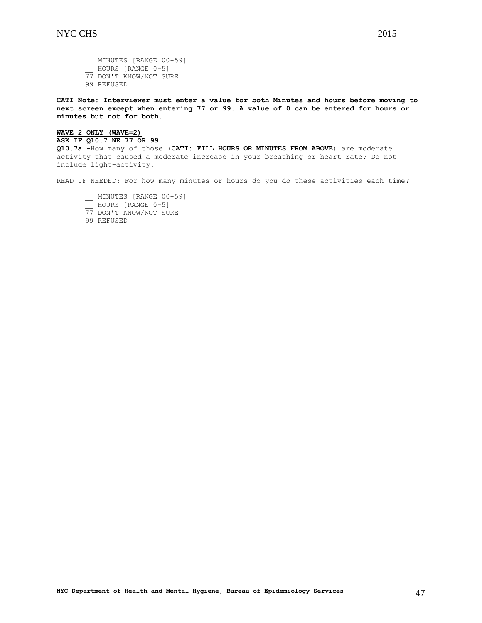\_\_ MINUTES [RANGE 00-59] HOURS [RANGE 0-5] 77 DON'T KNOW/NOT SURE 99 REFUSED

**CATI Note: Interviewer must enter a value for both Minutes and hours before moving to next screen except when entering 77 or 99. A value of 0 can be entered for hours or minutes but not for both.**

# **WAVE 2 ONLY (WAVE=2)**

**ASK IF Q10.7 NE 77 OR 99**

**Q10.7a -**How many of those (**CATI: FILL HOURS OR MINUTES FROM ABOVE**) are moderate activity that caused a moderate increase in your breathing or heart rate? Do not include light-activity.

READ IF NEEDED: For how many minutes or hours do you do these activities each time?

- \_\_ MINUTES [RANGE 00-59] \_\_ HOURS [RANGE 0-5] 77 DON'T KNOW/NOT SURE
- 99 REFUSED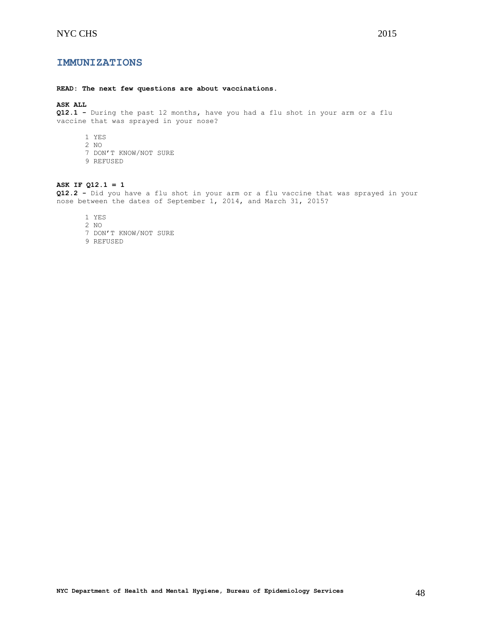# <span id="page-47-0"></span>**IMMUNIZATIONS**

#### **READ: The next few questions are about vaccinations.**

# **ASK ALL**

**Q12.1 -** During the past 12 months, have you had a flu shot in your arm or a flu vaccine that was sprayed in your nose?

- 1 YES
- 2 NO
- 7 DON'T KNOW/NOT SURE
- 9 REFUSED

#### **ASK IF Q12.1 = 1**

**Q12.2 -** Did you have a flu shot in your arm or a flu vaccine that was sprayed in your nose between the dates of September 1, 2014, and March 31, 2015?

- 1 YES
- 2 NO
- 7 DON'T KNOW/NOT SURE
- 9 REFUSED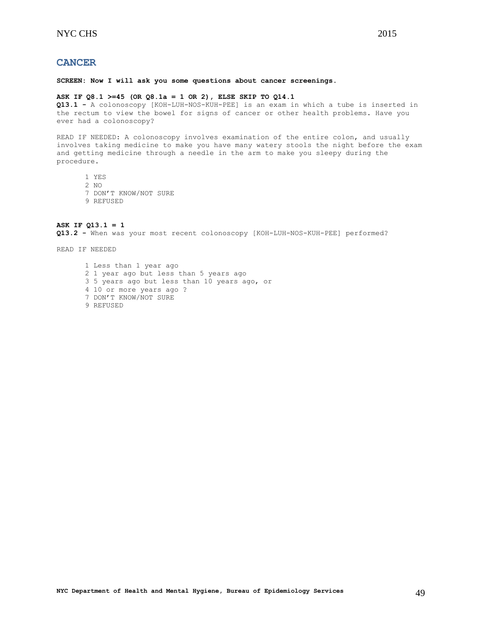# <span id="page-48-0"></span>**CANCER**

**SCREEN: Now I will ask you some questions about cancer screenings.**

#### **ASK IF Q8.1 >=45 (OR Q8.1a = 1 OR 2), ELSE SKIP TO Q14.1**

**Q13.1 -** A colonoscopy [KOH-LUH-NOS-KUH-PEE] is an exam in which a tube is inserted in the rectum to view the bowel for signs of cancer or other health problems. Have you ever had a colonoscopy?

READ IF NEEDED: A colonoscopy involves examination of the entire colon, and usually involves taking medicine to make you have many watery stools the night before the exam and getting medicine through a needle in the arm to make you sleepy during the procedure.

- 1 YES
- 2 NO
- 7 DON'T KNOW/NOT SURE
- 9 REFUSED

**ASK IF Q13.1 = 1 Q13.2 -** When was your most recent colonoscopy [KOH-LUH-NOS-KUH-PEE] performed?

READ IF NEEDED

1 Less than 1 year ago 2 1 year ago but less than 5 years ago 3 5 years ago but less than 10 years ago, or 4 10 or more years ago ? 7 DON'T KNOW/NOT SURE 9 REFUSED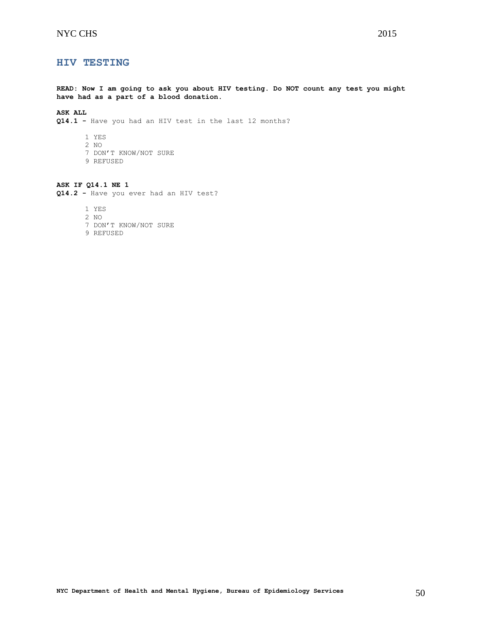# <span id="page-49-0"></span>**HIV TESTING**

**READ: Now I am going to ask you about HIV testing. Do NOT count any test you might have had as a part of a blood donation.**

# **ASK ALL**

**Q14.1 -** Have you had an HIV test in the last 12 months?

- 1 YES
- 2 NO
- 7 DON'T KNOW/NOT SURE
- 9 REFUSED

**ASK IF Q14.1 NE 1 Q14.2 -** Have you ever had an HIV test?

1 YES

- 2 NO
- 7 DON'T KNOW/NOT SURE
- 9 REFUSED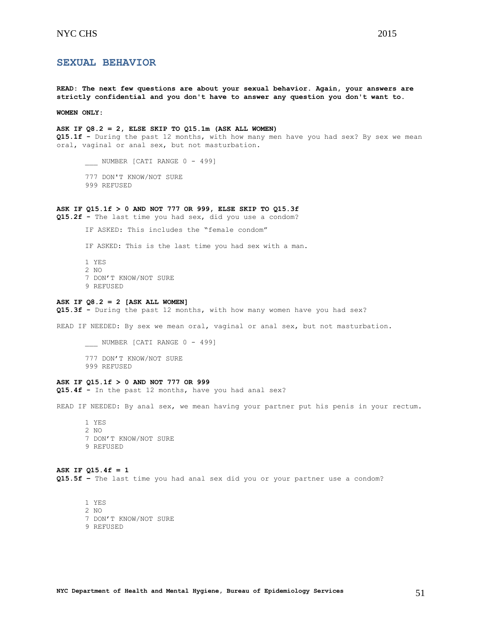# <span id="page-50-0"></span>**SEXUAL BEHAVIOR**

**READ: The next few questions are about your sexual behavior. Again, your answers are strictly confidential and you don't have to answer any question you don't want to.**

**WOMEN ONLY:**

**ASK IF Q8.2 = 2, ELSE SKIP TO Q15.1m (ASK ALL WOMEN) Q15.1f -** During the past 12 months, with how many men have you had sex? By sex we mean oral, vaginal or anal sex, but not masturbation.

\_\_\_\_ NUMBER [CATI RANGE 0 - 499]

- 777 DON'T KNOW/NOT SURE
- 999 REFUSED

#### **ASK IF Q15.1f > 0 AND NOT 777 OR 999, ELSE SKIP TO Q15.3f**

**Q15.2f -** The last time you had sex, did you use a condom?

IF ASKED: This includes the "female condom"

IF ASKED: This is the last time you had sex with a man.

1 YES 2 NO 7 DON'T KNOW/NOT SURE 9 REFUSED

#### **ASK IF Q8.2 = 2 [ASK ALL WOMEN]**

**Q15.3f -** During the past 12 months, with how many women have you had sex?

READ IF NEEDED: By sex we mean oral, vaginal or anal sex, but not masturbation.

\_\_\_ NUMBER [CATI RANGE 0 - 499]

- 777 DON'T KNOW/NOT SURE
- 999 REFUSED

#### **ASK IF Q15.1f > 0 AND NOT 777 OR 999**

**Q15.4f -** In the past 12 months, have you had anal sex?

READ IF NEEDED: By anal sex, we mean having your partner put his penis in your rectum.

1 YES 2 NO 7 DON'T KNOW/NOT SURE 9 REFUSED

**ASK IF Q15.4f = 1 Q15.5f –** The last time you had anal sex did you or your partner use a condom?

1 YES 2 NO 7 DON'T KNOW/NOT SURE 9 REFUSED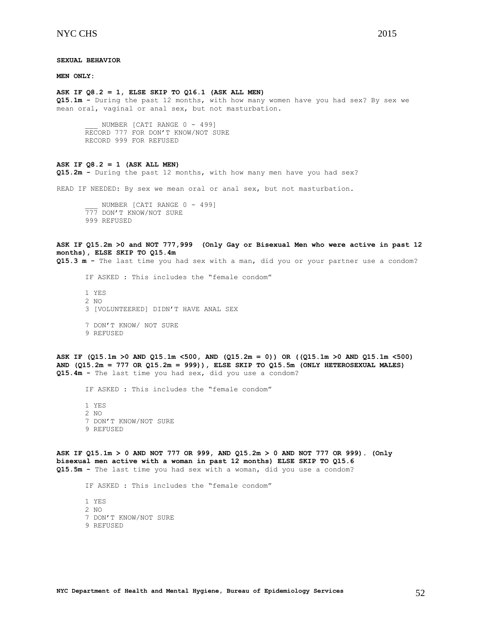**MEN ONLY:**

#### **ASK IF Q8.2 = 1, ELSE SKIP TO Q16.1 (ASK ALL MEN)**

**Q15.1m -** During the past 12 months, with how many women have you had sex? By sex we mean oral, vaginal or anal sex, but not masturbation.

NUMBER [CATI RANGE 0 - 499] RECORD 777 FOR DON'T KNOW/NOT SURE RECORD 999 FOR REFUSED

#### **ASK IF Q8.2 = 1 (ASK ALL MEN)**

**Q15.2m -** During the past 12 months, with how many men have you had sex?

READ IF NEEDED: By sex we mean oral or anal sex, but not masturbation.

NUMBER [CATI RANGE 0 - 499] 777 DON'T KNOW/NOT SURE 999 REFUSED

```
ASK IF Q15.2m >0 and NOT 777,999 (Only Gay or Bisexual Men who were active in past 12 
months), ELSE SKIP TO Q15.4m
```
**Q15.3 m -** The last time you had sex with a man, did you or your partner use a condom?

IF ASKED : This includes the "female condom" 1 YES 2 NO 3 [VOLUNTEERED] DIDN'T HAVE ANAL SEX 7 DON'T KNOW/ NOT SURE 9 REFUSED

**ASK IF (Q15.1m >0 AND Q15.1m <500, AND (Q15.2m = 0)) OR ((Q15.1m >0 AND Q15.1m <500) AND (Q15.2m = 777 OR Q15.2m = 999)), ELSE SKIP TO Q15.5m (ONLY HETEROSEXUAL MALES) Q15.4m -** The last time you had sex, did you use a condom?

IF ASKED : This includes the "female condom"

1 YES 2 NO 7 DON'T KNOW/NOT SURE 9 REFUSED

**ASK IF Q15.1m > 0 AND NOT 777 OR 999, AND Q15.2m > 0 AND NOT 777 OR 999). (Only bisexual men active with a woman in past 12 months) ELSE SKIP TO Q15.6 Q15.5m -** The last time you had sex with a woman, did you use a condom?

IF ASKED : This includes the "female condom"

1 YES 2 NO 7 DON'T KNOW/NOT SURE 9 REFUSED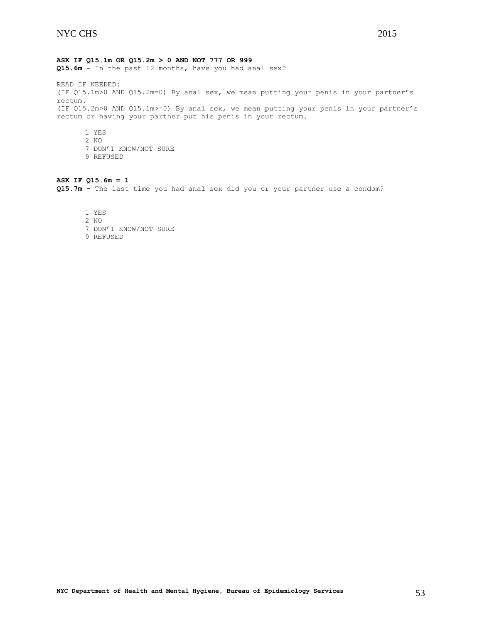### **ASK IF Q15.1m OR Q15.2m > 0 AND NOT 777 OR 999**

**Q15.6m -** In the past 12 months, have you had anal sex?

READ IF NEEDED: (IF Q15.1m>0 AND Q15.2m=0) By anal sex, we mean putting your penis in your partner's rectum. (IF Q15.2m>0 AND Q15.1m>=0) By anal sex, we mean putting your penis in your partner's rectum or having your partner put his penis in your rectum.

1 YES 2 NO 7 DON'T KNOW/NOT SURE 9 REFUSED

# **ASK IF Q15.6m = 1**

**Q15.7m -** The last time you had anal sex did you or your partner use a condom?

1 YES

- 2 NO
- 7 DON'T KNOW/NOT SURE
- 9 REFUSED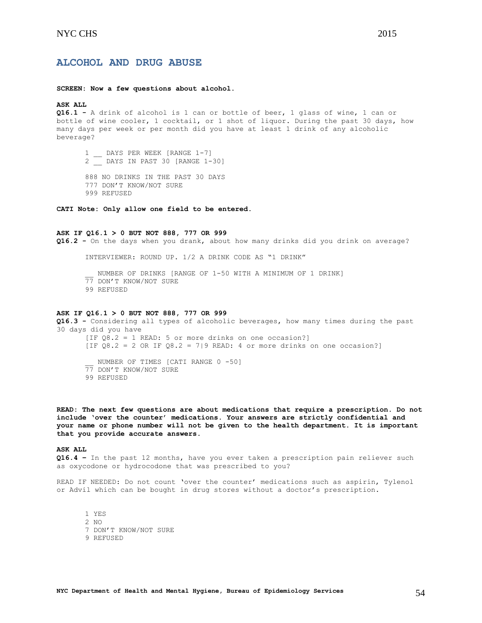# <span id="page-53-0"></span>**ALCOHOL AND DRUG ABUSE**

#### **SCREEN: Now a few questions about alcohol.**

# **ASK ALL**

**Q16.1 -** A drink of alcohol is 1 can or bottle of beer, 1 glass of wine, 1 can or bottle of wine cooler, 1 cocktail, or 1 shot of liquor. During the past 30 days, how many days per week or per month did you have at least 1 drink of any alcoholic beverage?

1 \_ DAYS PER WEEK [RANGE 1-7] 2 \_\_ DAYS IN PAST 30 [RANGE 1-30]

888 NO DRINKS IN THE PAST 30 DAYS 777 DON'T KNOW/NOT SURE 999 REFUSED

**CATI Note: Only allow one field to be entered.**

### **ASK IF Q16.1 > 0 BUT NOT 888, 777 OR 999**

**Q16.2 -** On the days when you drank, about how many drinks did you drink on average?

INTERVIEWER: ROUND UP. 1/2 A DRINK CODE AS "1 DRINK"

NUMBER OF DRINKS [RANGE OF 1-50 WITH A MINIMUM OF 1 DRINK] 77 DON'T KNOW/NOT SURE 99 REFUSED

#### **ASK IF Q16.1 > 0 BUT NOT 888, 777 OR 999**

**Q16.3 -** Considering all types of alcoholic beverages, how many times during the past 30 days did you have [IF Q8.2 = 1 READ: 5 or more drinks on one occasion?] [IF  $Q8.2 = 2$  OR IF  $Q8.2 = 7$ |9 READ: 4 or more drinks on one occasion?] NUMBER OF TIMES [CATI RANGE 0 -50] 77 DON'T KNOW/NOT SURE 99 REFUSED

**READ: The next few questions are about medications that require a prescription. Do not include 'over the counter' medications. Your answers are strictly confidential and your name or phone number will not be given to the health department. It is important that you provide accurate answers.**

### **ASK ALL**

**Q16.4 –** In the past 12 months, have you ever taken a prescription pain reliever such as oxycodone or hydrocodone that was prescribed to you?

READ IF NEEDED: Do not count 'over the counter' medications such as aspirin, Tylenol or Advil which can be bought in drug stores without a doctor's prescription.

1 YES 2 NO 7 DON'T KNOW/NOT SURE 9 REFUSED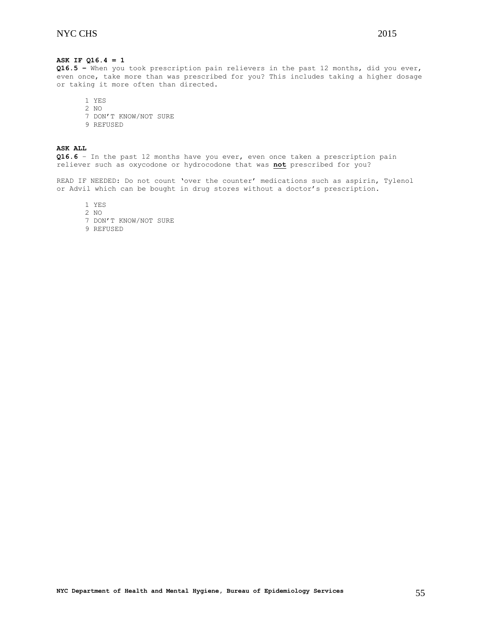# **ASK IF Q16.4 = 1**

**Q16.5 –** When you took prescription pain relievers in the past 12 months, did you ever, even once, take more than was prescribed for you? This includes taking a higher dosage or taking it more often than directed.

1 YES

2 NO 7 DON'T KNOW/NOT SURE

9 REFUSED

**ASK ALL Q16.6** – In the past 12 months have you ever, even once taken a prescription pain reliever such as oxycodone or hydrocodone that was **not** prescribed for you?

READ IF NEEDED: Do not count 'over the counter' medications such as aspirin, Tylenol or Advil which can be bought in drug stores without a doctor's prescription.

1 YES

2 NO

7 DON'T KNOW/NOT SURE

9 REFUSED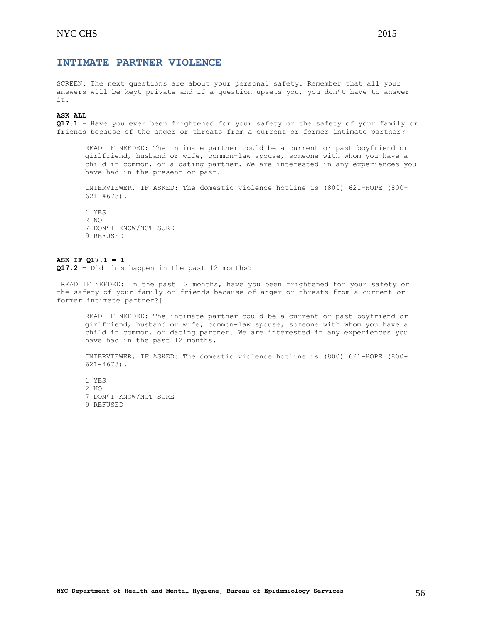# <span id="page-55-0"></span>**INTIMATE PARTNER VIOLENCE**

SCREEN: The next questions are about your personal safety. Remember that all your answers will be kept private and if a question upsets you, you don't have to answer it.

#### **ASK ALL**

**Q17.1** – Have you ever been frightened for your safety or the safety of your family or friends because of the anger or threats from a current or former intimate partner?

READ IF NEEDED: The intimate partner could be a current or past boyfriend or girlfriend, husband or wife, common-law spouse, someone with whom you have a child in common, or a dating partner. We are interested in any experiences you have had in the present or past.

INTERVIEWER, IF ASKED: The domestic violence hotline is (800) 621-HOPE (800- 621-4673).

1 YES 2 NO 7 DON'T KNOW/NOT SURE 9 REFUSED

# **ASK IF Q17.1 = 1**

**Q17.2 –** Did this happen in the past 12 months?

[READ IF NEEDED: In the past 12 months, have you been frightened for your safety or the safety of your family or friends because of anger or threats from a current or former intimate partner?]

READ IF NEEDED: The intimate partner could be a current or past boyfriend or girlfriend, husband or wife, common-law spouse, someone with whom you have a child in common, or dating partner. We are interested in any experiences you have had in the past 12 months.

INTERVIEWER, IF ASKED: The domestic violence hotline is (800) 621-HOPE (800- 621-4673).

1 YES 2 NO 7 DON'T KNOW/NOT SURE 9 REFUSED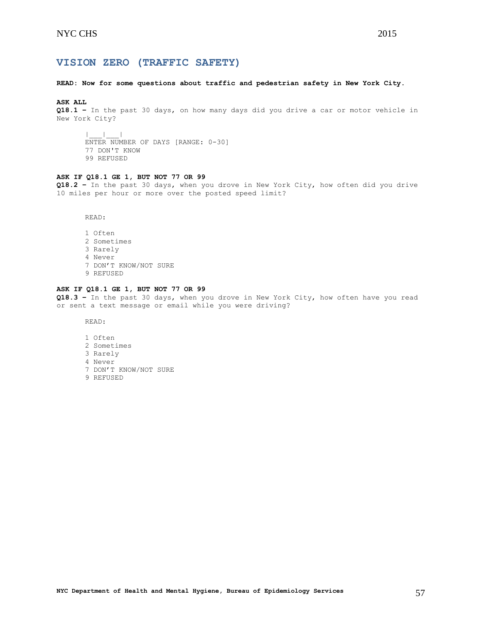# <span id="page-56-0"></span>**VISION ZERO (TRAFFIC SAFETY)**

# **READ: Now for some questions about traffic and pedestrian safety in New York City.**

#### **ASK ALL**

**Q18.1 –** In the past 30 days, on how many days did you drive a car or motor vehicle in New York City?

 $\|$ ENTER NUMBER OF DAYS [RANGE: 0-30] 77 DON'T KNOW 99 REFUSED

# **ASK IF Q18.1 GE 1, BUT NOT 77 OR 99**

**Q18.2 –** In the past 30 days, when you drove in New York City, how often did you drive 10 miles per hour or more over the posted speed limit?

READ:

1 Often 2 Sometimes 3 Rarely 4 Never 7 DON'T KNOW/NOT SURE 9 REFUSED

# **ASK IF Q18.1 GE 1, BUT NOT 77 OR 99**

**Q18.3 –** In the past 30 days, when you drove in New York City, how often have you read or sent a text message or email while you were driving?

READ:

- 1 Often
- 2 Sometimes
- 3 Rarely
- 4 Never
- 7 DON'T KNOW/NOT SURE
- 9 REFUSED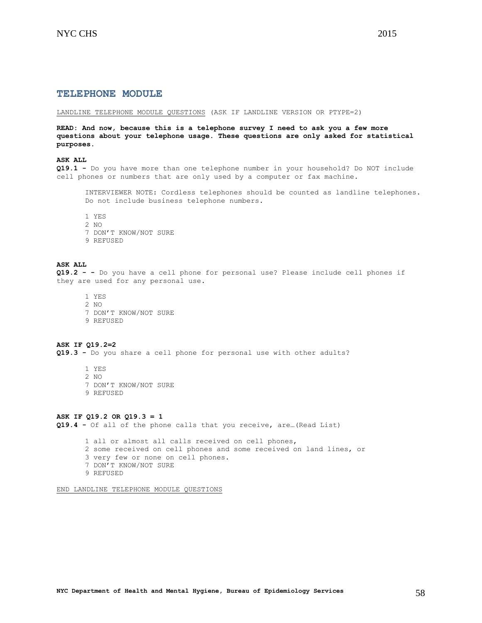<span id="page-57-0"></span>LANDLINE TELEPHONE MODULE QUESTIONS (ASK IF LANDLINE VERSION OR PTYPE=2)

**READ: And now, because this is a telephone survey I need to ask you a few more questions about your telephone usage. These questions are only asked for statistical purposes.**

# **ASK ALL**

**Q19.1 -** Do you have more than one telephone number in your household? Do NOT include cell phones or numbers that are only used by a computer or fax machine.

INTERVIEWER NOTE: Cordless telephones should be counted as landline telephones. Do not include business telephone numbers.

1 YES

- 2 NO
- 7 DON'T KNOW/NOT SURE
- 9 REFUSED

#### **ASK ALL**

**Q19.2 - -** Do you have a cell phone for personal use? Please include cell phones if they are used for any personal use.

1 YES 2 NO 7 DON'T KNOW/NOT SURE 9 REFUSED

## **ASK IF Q19.2=2 Q19.3 -** Do you share a cell phone for personal use with other adults?

1 YES 2 NO 7 DON'T KNOW/NOT SURE 9 REFUSED

### **ASK IF Q19.2 OR Q19.3 = 1**

**Q19.4 -** Of all of the phone calls that you receive, are…(Read List)

1 all or almost all calls received on cell phones, 2 some received on cell phones and some received on land lines, or 3 very few or none on cell phones. 7 DON'T KNOW/NOT SURE

9 REFUSED

END LANDLINE TELEPHONE MODULE QUESTIONS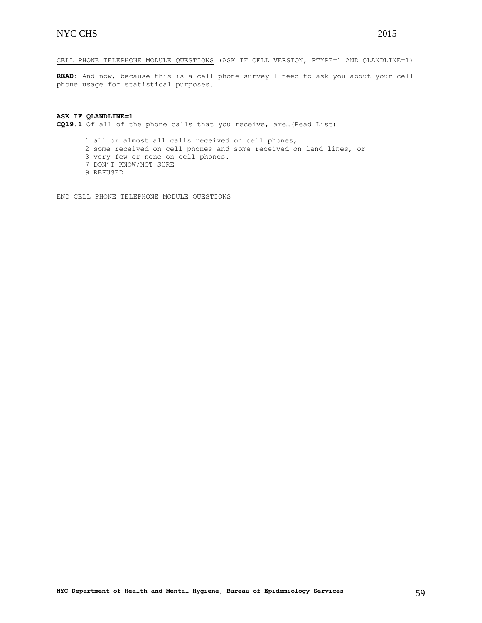CELL PHONE TELEPHONE MODULE QUESTIONS (ASK IF CELL VERSION, PTYPE=1 AND QLANDLINE=1)

**READ:** And now, because this is a cell phone survey I need to ask you about your cell phone usage for statistical purposes.

**ASK IF QLANDLINE=1 CQ19.1** Of all of the phone calls that you receive, are…(Read List)

1 all or almost all calls received on cell phones,

- 2 some received on cell phones and some received on land lines, or
- 3 very few or none on cell phones.
- 7 DON'T KNOW/NOT SURE
- 9 REFUSED

END CELL PHONE TELEPHONE MODULE QUESTIONS